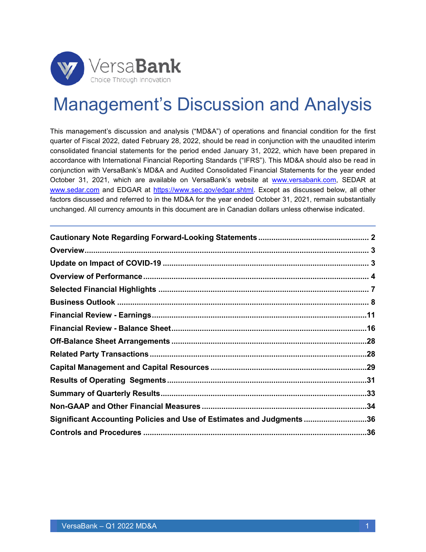

# Management's Discussion and Analysis

This management's discussion and analysis ("MD&A") of operations and financial condition for the first quarter of Fiscal 2022, dated February 28, 2022, should be read in conjunction with the unaudited interim consolidated financial statements for the period ended January 31, 2022, which have been prepared in accordance with International Financial Reporting Standards ("IFRS"). This MD&A should also be read in conjunction with VersaBank's MD&A and Audited Consolidated Financial Statements for the year ended October 31, 2021, which are available on VersaBank's website at [www.versabank.com,](http://www.versabank.com/) SEDAR at [www.sedar.com](http://www.sedar.com/) and EDGAR at [https://www.sec.gov/edgar.shtml.](https://www.sec.gov/edgar.shtml) Except as discussed below, all other factors discussed and referred to in the MD&A for the year ended October 31, 2021, remain substantially unchanged. All currency amounts in this document are in Canadian dollars unless otherwise indicated.

| Significant Accounting Policies and Use of Estimates and Judgments36 |  |
|----------------------------------------------------------------------|--|
|                                                                      |  |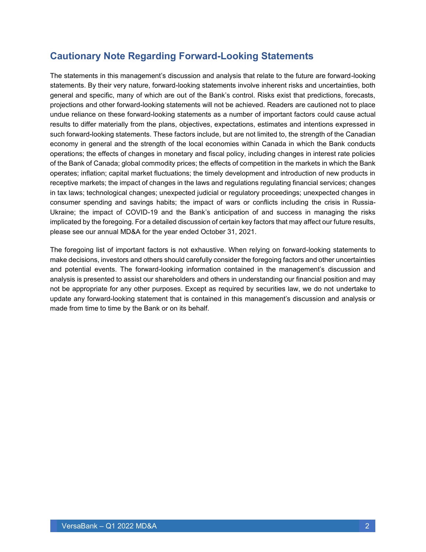### <span id="page-1-0"></span>**Cautionary Note Regarding Forward-Looking Statements**

The statements in this management's discussion and analysis that relate to the future are forward-looking statements. By their very nature, forward-looking statements involve inherent risks and uncertainties, both general and specific, many of which are out of the Bank's control. Risks exist that predictions, forecasts, projections and other forward-looking statements will not be achieved. Readers are cautioned not to place undue reliance on these forward-looking statements as a number of important factors could cause actual results to differ materially from the plans, objectives, expectations, estimates and intentions expressed in such forward-looking statements. These factors include, but are not limited to, the strength of the Canadian economy in general and the strength of the local economies within Canada in which the Bank conducts operations; the effects of changes in monetary and fiscal policy, including changes in interest rate policies of the Bank of Canada; global commodity prices; the effects of competition in the markets in which the Bank operates; inflation; capital market fluctuations; the timely development and introduction of new products in receptive markets; the impact of changes in the laws and regulations regulating financial services; changes in tax laws; technological changes; unexpected judicial or regulatory proceedings; unexpected changes in consumer spending and savings habits; the impact of wars or conflicts including the crisis in Russia-Ukraine; the impact of COVID-19 and the Bank's anticipation of and success in managing the risks implicated by the foregoing. For a detailed discussion of certain key factors that may affect our future results, please see our annual MD&A for the year ended October 31, 2021.

The foregoing list of important factors is not exhaustive. When relying on forward-looking statements to make decisions, investors and others should carefully consider the foregoing factors and other uncertainties and potential events. The forward-looking information contained in the management's discussion and analysis is presented to assist our shareholders and others in understanding our financial position and may not be appropriate for any other purposes. Except as required by securities law, we do not undertake to update any forward-looking statement that is contained in this management's discussion and analysis or made from time to time by the Bank or on its behalf.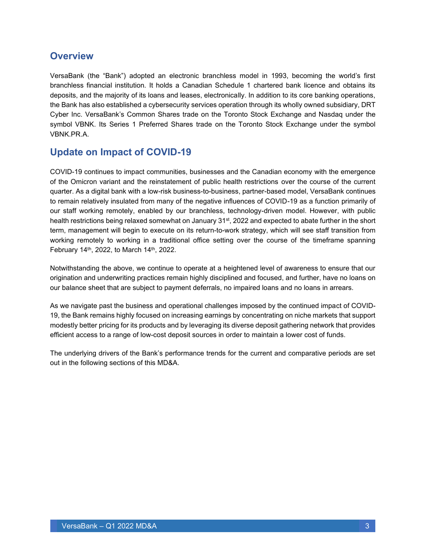### <span id="page-2-0"></span>**Overview**

VersaBank (the "Bank") adopted an electronic branchless model in 1993, becoming the world's first branchless financial institution. It holds a Canadian Schedule 1 chartered bank licence and obtains its deposits, and the majority of its loans and leases, electronically. In addition to its core banking operations, the Bank has also established a cybersecurity services operation through its wholly owned subsidiary, DRT Cyber Inc. VersaBank's Common Shares trade on the Toronto Stock Exchange and Nasdaq under the symbol VBNK. Its Series 1 Preferred Shares trade on the Toronto Stock Exchange under the symbol VBNK.PR.A.

### <span id="page-2-1"></span>**Update on Impact of COVID-19**

COVID-19 continues to impact communities, businesses and the Canadian economy with the emergence of the Omicron variant and the reinstatement of public health restrictions over the course of the current quarter. As a digital bank with a low-risk business-to-business, partner-based model, VersaBank continues to remain relatively insulated from many of the negative influences of COVID-19 as a function primarily of our staff working remotely, enabled by our branchless, technology-driven model. However, with public health restrictions being relaxed somewhat on January 31<sup>st</sup>, 2022 and expected to abate further in the short term, management will begin to execute on its return-to-work strategy, which will see staff transition from working remotely to working in a traditional office setting over the course of the timeframe spanning February 14th, 2022, to March 14th, 2022.

Notwithstanding the above, we continue to operate at a heightened level of awareness to ensure that our origination and underwriting practices remain highly disciplined and focused, and further, have no loans on our balance sheet that are subject to payment deferrals, no impaired loans and no loans in arrears.

As we navigate past the business and operational challenges imposed by the continued impact of COVID-19, the Bank remains highly focused on increasing earnings by concentrating on niche markets that support modestly better pricing for its products and by leveraging its diverse deposit gathering network that provides efficient access to a range of low-cost deposit sources in order to maintain a lower cost of funds.

The underlying drivers of the Bank's performance trends for the current and comparative periods are set out in the following sections of this MD&A.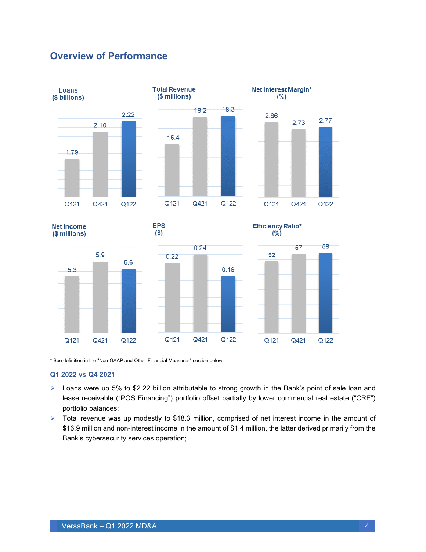### <span id="page-3-0"></span>**Overview of Performance**



\* See definition in the "Non-GAAP and Other Financial Measures" section below.

#### **Q1 2022 vs Q4 2021**

- $\triangleright$  Loans were up 5% to \$2.22 billion attributable to strong growth in the Bank's point of sale loan and lease receivable ("POS Financing") portfolio offset partially by lower commercial real estate ("CRE") portfolio balances;
- ➢ Total revenue was up modestly to \$18.3 million, comprised of net interest income in the amount of \$16.9 million and non-interest income in the amount of \$1.4 million, the latter derived primarily from the Bank's cybersecurity services operation;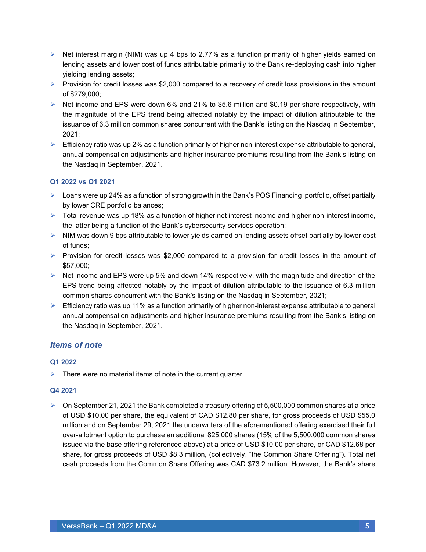- $\triangleright$  Net interest margin (NIM) was up 4 bps to 2.77% as a function primarily of higher yields earned on lending assets and lower cost of funds attributable primarily to the Bank re-deploying cash into higher yielding lending assets;
- ➢ Provision for credit losses was \$2,000 compared to a recovery of credit loss provisions in the amount of \$279,000;
- $\triangleright$  Net income and EPS were down 6% and 21% to \$5.6 million and \$0.19 per share respectively, with the magnitude of the EPS trend being affected notably by the impact of dilution attributable to the issuance of 6.3 million common shares concurrent with the Bank's listing on the Nasdaq in September, 2021;
- ➢ Efficiency ratio was up 2% as a function primarily of higher non-interest expense attributable to general, annual compensation adjustments and higher insurance premiums resulting from the Bank's listing on the Nasdaq in September, 2021.

#### **Q1 2022 vs Q1 2021**

- ➢ Loans were up 24% as a function of strong growth in the Bank's POS Financing portfolio, offset partially by lower CRE portfolio balances;
- $\triangleright$  Total revenue was up 18% as a function of higher net interest income and higher non-interest income, the latter being a function of the Bank's cybersecurity services operation;
- ➢ NIM was down 9 bps attributable to lower yields earned on lending assets offset partially by lower cost of funds;
- $\triangleright$  Provision for credit losses was \$2,000 compared to a provision for credit losses in the amount of \$57,000;
- $\triangleright$  Net income and EPS were up 5% and down 14% respectively, with the magnitude and direction of the EPS trend being affected notably by the impact of dilution attributable to the issuance of 6.3 million common shares concurrent with the Bank's listing on the Nasdaq in September, 2021;
- $\triangleright$  Efficiency ratio was up 11% as a function primarily of higher non-interest expense attributable to general annual compensation adjustments and higher insurance premiums resulting from the Bank's listing on the Nasdaq in September, 2021.

### *Items of note*

#### **Q1 2022**

 $\triangleright$  There were no material items of note in the current quarter.

#### **Q4 2021**

 $\triangleright$  On September 21, 2021 the Bank completed a treasury offering of 5,500,000 common shares at a price of USD \$10.00 per share, the equivalent of CAD \$12.80 per share, for gross proceeds of USD \$55.0 million and on September 29, 2021 the underwriters of the aforementioned offering exercised their full over-allotment option to purchase an additional 825,000 shares (15% of the 5,500,000 common shares issued via the base offering referenced above) at a price of USD \$10.00 per share, or CAD \$12.68 per share, for gross proceeds of USD \$8.3 million, (collectively, "the Common Share Offering"). Total net cash proceeds from the Common Share Offering was CAD \$73.2 million. However, the Bank's share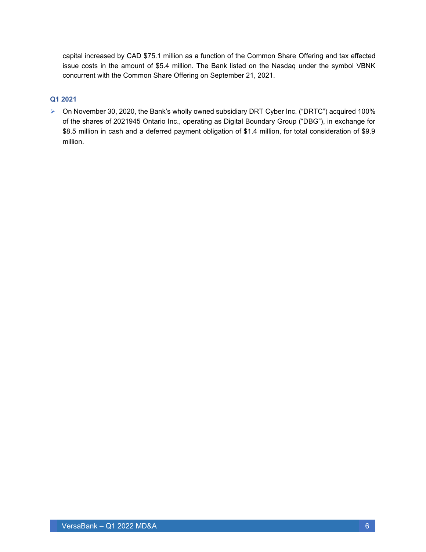capital increased by CAD \$75.1 million as a function of the Common Share Offering and tax effected issue costs in the amount of \$5.4 million. The Bank listed on the Nasdaq under the symbol VBNK concurrent with the Common Share Offering on September 21, 2021.

#### **Q1 2021**

➢ On November 30, 2020, the Bank's wholly owned subsidiary DRT Cyber Inc. ("DRTC") acquired 100% of the shares of 2021945 Ontario Inc., operating as Digital Boundary Group ("DBG"), in exchange for \$8.5 million in cash and a deferred payment obligation of \$1.4 million, for total consideration of \$9.9 million.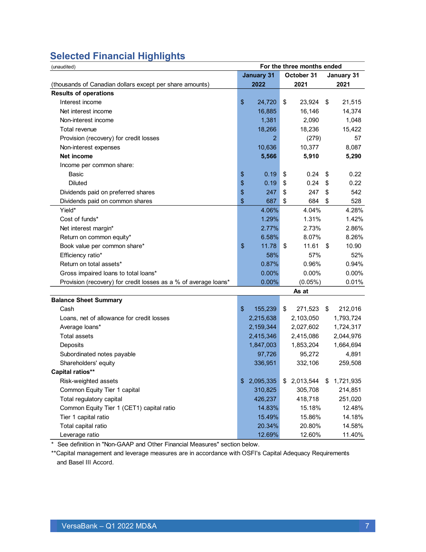## <span id="page-6-0"></span>**Selected Financial Highlights**

| For the three months ended<br>(unaudited)                       |       |                   |            |            |      |            |
|-----------------------------------------------------------------|-------|-------------------|------------|------------|------|------------|
|                                                                 |       | <b>January 31</b> | October 31 |            |      | January 31 |
| (thousands of Canadian dollars except per share amounts)        |       | 2022              |            | 2021       |      | 2021       |
| <b>Results of operations</b>                                    |       |                   |            |            |      |            |
| Interest income                                                 | \$    | 24,720            | \$         | 23,924     | \$   | 21,515     |
| Net interest income                                             |       | 16,885            |            | 16,146     |      | 14,374     |
| Non-interest income                                             |       | 1,381             |            | 2,090      |      | 1,048      |
| Total revenue                                                   |       | 18,266            |            | 18,236     |      | 15,422     |
| Provision (recovery) for credit losses                          |       | $\overline{2}$    |            | (279)      |      | 57         |
| Non-interest expenses                                           |       | 10,636            |            | 10,377     |      | 8,087      |
| Net income                                                      |       | 5,566             |            | 5,910      |      | 5,290      |
| Income per common share:                                        |       |                   |            |            |      |            |
| Basic                                                           | \$    | 0.19              | \$         | 0.24       | \$   | 0.22       |
| <b>Diluted</b>                                                  | \$    | 0.19              | \$         | 0.24       | \$   | 0.22       |
| Dividends paid on preferred shares                              | \$    | 247               | \$         | 247        | \$   | 542        |
| Dividends paid on common shares                                 | \$    | 687               | \$         | 684        | \$   | 528        |
| Yield*                                                          |       | 4.06%             |            | 4.04%      |      | 4.28%      |
| Cost of funds*                                                  |       | 1.29%             |            | 1.31%      |      | 1.42%      |
| Net interest margin*                                            |       | 2.77%             |            | 2.73%      |      | 2.86%      |
| Return on common equity*                                        |       | 6.58%             |            | 8.07%      |      | 8.26%      |
| Book value per common share*                                    | \$    | 11.78             | \$         | 11.61      | - \$ | 10.90      |
| Efficiency ratio*                                               |       | 58%               |            | 57%        |      | 52%        |
| Return on total assets*                                         |       | 0.87%             |            | 0.96%      |      | 0.94%      |
| Gross impaired loans to total loans*                            |       | 0.00%             |            | 0.00%      |      | 0.00%      |
| Provision (recovery) for credit losses as a % of average loans* |       | 0.00%             |            | $(0.05\%)$ |      | 0.01%      |
|                                                                 |       |                   |            | As at      |      |            |
| <b>Balance Sheet Summary</b>                                    |       |                   |            |            |      |            |
| Cash                                                            | $\$\$ | 155,239           | \$         | 271,523    | \$   | 212,016    |
| Loans, net of allowance for credit losses                       |       | 2,215,638         |            | 2,103,050  |      | 1,793,724  |
| Average loans*                                                  |       | 2,159,344         |            | 2,027,602  |      | 1,724,317  |
| <b>Total assets</b>                                             |       | 2,415,346         |            | 2,415,086  |      | 2,044,976  |
| Deposits                                                        |       | 1,847,003         |            | 1,853,204  |      | 1,664,694  |
| Subordinated notes payable                                      |       | 97,726            |            | 95,272     |      | 4,891      |
| Shareholders' equity                                            |       | 336,951           |            | 332,106    |      | 259,508    |
| <b>Capital ratios**</b>                                         |       |                   |            |            |      |            |
| Risk-weighted assets                                            | \$    | 2,095,335         | \$         | 2,013,544  | \$   | 1,721,935  |
| Common Equity Tier 1 capital                                    |       | 310,825           |            | 305,708    |      | 214,851    |
| Total regulatory capital                                        |       | 426,237           |            | 418,718    |      | 251,020    |
| Common Equity Tier 1 (CET1) capital ratio                       |       | 14.83%            |            | 15.18%     |      | 12.48%     |
| Tier 1 capital ratio                                            |       | 15.49%            |            | 15.86%     |      | 14.18%     |
| Total capital ratio                                             |       | 20.34%            |            | 20.80%     |      | 14.58%     |
| Leverage ratio                                                  |       | 12.69%            |            | 12.60%     |      | 11.40%     |

\* See definition in "Non-GAAP and Other Financial Measures" section below.

\*\*Capital management and leverage measures are in accordance with OSFI's Capital Adequacy Requirements and Basel III Accord.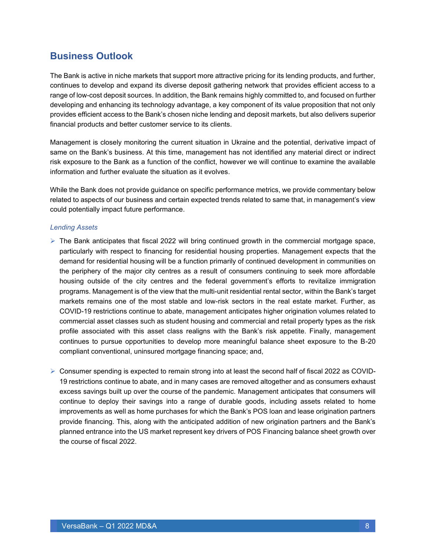### <span id="page-7-0"></span>**Business Outlook**

The Bank is active in niche markets that support more attractive pricing for its lending products, and further, continues to develop and expand its diverse deposit gathering network that provides efficient access to a range of low-cost deposit sources. In addition, the Bank remains highly committed to, and focused on further developing and enhancing its technology advantage, a key component of its value proposition that not only provides efficient access to the Bank's chosen niche lending and deposit markets, but also delivers superior financial products and better customer service to its clients.

Management is closely monitoring the current situation in Ukraine and the potential, derivative impact of same on the Bank's business. At this time, management has not identified any material direct or indirect risk exposure to the Bank as a function of the conflict, however we will continue to examine the available information and further evaluate the situation as it evolves.

While the Bank does not provide guidance on specific performance metrics, we provide commentary below related to aspects of our business and certain expected trends related to same that, in management's view could potentially impact future performance.

#### *Lending Assets*

- $\triangleright$  The Bank anticipates that fiscal 2022 will bring continued growth in the commercial mortgage space, particularly with respect to financing for residential housing properties. Management expects that the demand for residential housing will be a function primarily of continued development in communities on the periphery of the major city centres as a result of consumers continuing to seek more affordable housing outside of the city centres and the federal government's efforts to revitalize immigration programs. Management is of the view that the multi-unit residential rental sector, within the Bank's target markets remains one of the most stable and low-risk sectors in the real estate market. Further, as COVID-19 restrictions continue to abate, management anticipates higher origination volumes related to commercial asset classes such as student housing and commercial and retail property types as the risk profile associated with this asset class realigns with the Bank's risk appetite. Finally, management continues to pursue opportunities to develop more meaningful balance sheet exposure to the B-20 compliant conventional, uninsured mortgage financing space; and,
- ➢ Consumer spending is expected to remain strong into at least the second half of fiscal 2022 as COVID-19 restrictions continue to abate, and in many cases are removed altogether and as consumers exhaust excess savings built up over the course of the pandemic. Management anticipates that consumers will continue to deploy their savings into a range of durable goods, including assets related to home improvements as well as home purchases for which the Bank's POS loan and lease origination partners provide financing. This, along with the anticipated addition of new origination partners and the Bank's planned entrance into the US market represent key drivers of POS Financing balance sheet growth over the course of fiscal 2022.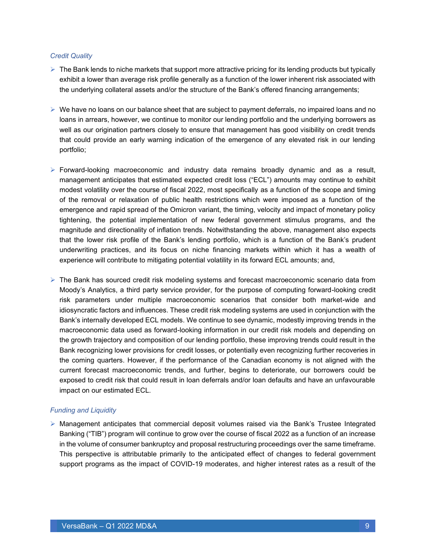#### *Credit Quality*

- $\triangleright$  The Bank lends to niche markets that support more attractive pricing for its lending products but typically exhibit a lower than average risk profile generally as a function of the lower inherent risk associated with the underlying collateral assets and/or the structure of the Bank's offered financing arrangements;
- $\triangleright$  We have no loans on our balance sheet that are subject to payment deferrals, no impaired loans and no loans in arrears, however, we continue to monitor our lending portfolio and the underlying borrowers as well as our origination partners closely to ensure that management has good visibility on credit trends that could provide an early warning indication of the emergence of any elevated risk in our lending portfolio;
- $\triangleright$  Forward-looking macroeconomic and industry data remains broadly dynamic and as a result, management anticipates that estimated expected credit loss ("ECL") amounts may continue to exhibit modest volatility over the course of fiscal 2022, most specifically as a function of the scope and timing of the removal or relaxation of public health restrictions which were imposed as a function of the emergence and rapid spread of the Omicron variant, the timing, velocity and impact of monetary policy tightening, the potential implementation of new federal government stimulus programs, and the magnitude and directionality of inflation trends. Notwithstanding the above, management also expects that the lower risk profile of the Bank's lending portfolio, which is a function of the Bank's prudent underwriting practices, and its focus on niche financing markets within which it has a wealth of experience will contribute to mitigating potential volatility in its forward ECL amounts; and,
- ➢ The Bank has sourced credit risk modeling systems and forecast macroeconomic scenario data from Moody's Analytics, a third party service provider, for the purpose of computing forward-looking credit risk parameters under multiple macroeconomic scenarios that consider both market-wide and idiosyncratic factors and influences. These credit risk modeling systems are used in conjunction with the Bank's internally developed ECL models. We continue to see dynamic, modestly improving trends in the macroeconomic data used as forward-looking information in our credit risk models and depending on the growth trajectory and composition of our lending portfolio, these improving trends could result in the Bank recognizing lower provisions for credit losses, or potentially even recognizing further recoveries in the coming quarters. However, if the performance of the Canadian economy is not aligned with the current forecast macroeconomic trends, and further, begins to deteriorate, our borrowers could be exposed to credit risk that could result in loan deferrals and/or loan defaults and have an unfavourable impact on our estimated ECL.

#### *Funding and Liquidity*

➢ Management anticipates that commercial deposit volumes raised via the Bank's Trustee Integrated Banking ("TIB") program will continue to grow over the course of fiscal 2022 as a function of an increase in the volume of consumer bankruptcy and proposal restructuring proceedings over the same timeframe. This perspective is attributable primarily to the anticipated effect of changes to federal government support programs as the impact of COVID-19 moderates, and higher interest rates as a result of the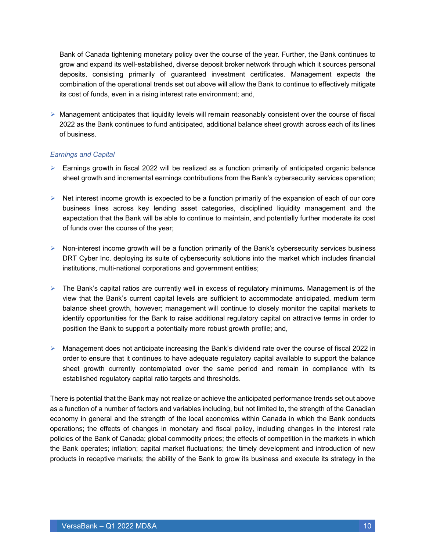Bank of Canada tightening monetary policy over the course of the year. Further, the Bank continues to grow and expand its well-established, diverse deposit broker network through which it sources personal deposits, consisting primarily of guaranteed investment certificates. Management expects the combination of the operational trends set out above will allow the Bank to continue to effectively mitigate its cost of funds, even in a rising interest rate environment; and,

➢ Management anticipates that liquidity levels will remain reasonably consistent over the course of fiscal 2022 as the Bank continues to fund anticipated, additional balance sheet growth across each of its lines of business.

#### *Earnings and Capital*

- $\triangleright$  Earnings growth in fiscal 2022 will be realized as a function primarily of anticipated organic balance sheet growth and incremental earnings contributions from the Bank's cybersecurity services operation;
- $\triangleright$  Net interest income growth is expected to be a function primarily of the expansion of each of our core business lines across key lending asset categories, disciplined liquidity management and the expectation that the Bank will be able to continue to maintain, and potentially further moderate its cost of funds over the course of the year;
- $\triangleright$  Non-interest income growth will be a function primarily of the Bank's cybersecurity services business DRT Cyber Inc. deploying its suite of cybersecurity solutions into the market which includes financial institutions, multi-national corporations and government entities;
- $\triangleright$  The Bank's capital ratios are currently well in excess of regulatory minimums. Management is of the view that the Bank's current capital levels are sufficient to accommodate anticipated, medium term balance sheet growth, however; management will continue to closely monitor the capital markets to identify opportunities for the Bank to raise additional regulatory capital on attractive terms in order to position the Bank to support a potentially more robust growth profile; and,
- ➢ Management does not anticipate increasing the Bank's dividend rate over the course of fiscal 2022 in order to ensure that it continues to have adequate regulatory capital available to support the balance sheet growth currently contemplated over the same period and remain in compliance with its established regulatory capital ratio targets and thresholds.

There is potential that the Bank may not realize or achieve the anticipated performance trends set out above as a function of a number of factors and variables including, but not limited to, the strength of the Canadian economy in general and the strength of the local economies within Canada in which the Bank conducts operations; the effects of changes in monetary and fiscal policy, including changes in the interest rate policies of the Bank of Canada; global commodity prices; the effects of competition in the markets in which the Bank operates; inflation; capital market fluctuations; the timely development and introduction of new products in receptive markets; the ability of the Bank to grow its business and execute its strategy in the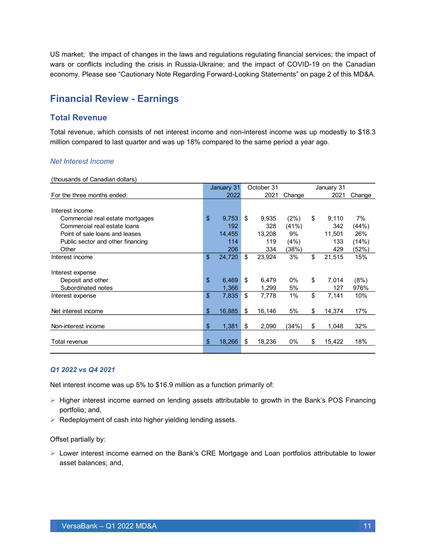US market; the impact of changes in the laws and regulations regulating financial services; the impact of wars or conflicts including the crisis in Russia-Ukraine; and the impact of COVID-19 on the Canadian economy. Please see "Cautionary Note Regarding Forward-Looking Statements" on page 2 of this MD&A.

### <span id="page-10-0"></span>**Financial Review - Earnings**

### **Total Revenue**

Total revenue, which consists of net interest income and non-interest income was up modestly to \$18.3 million compared to last quarter and was up 18% compared to the same period a year ago.

#### *Net Interest Income*

(thousands of Canadian dollars)

|                                   |               | January 31 |    | October 31 |        |              |        |
|-----------------------------------|---------------|------------|----|------------|--------|--------------|--------|
| For the three months ended:       |               | 2022       |    | 2021       | Change | 2021         | Change |
|                                   |               |            |    |            |        |              |        |
| Interest income                   |               |            |    |            |        |              |        |
| Commercial real estate mortgages  | \$            | 9,753      | \$ | 9.935      | (2%)   | \$<br>9,110  | 7%     |
| Commercial real estate loans      |               | 192        |    | 328        | (41%)  | 342          | (44%)  |
| Point of sale loans and leases    |               | 14,455     |    | 13,208     | 9%     | 11,501       | 26%    |
| Public sector and other financing |               | 114        |    | 119        | (4%)   | 133          | (14%)  |
| Other                             |               | 206        |    | 334        | (38%)  | 429          | (52%)  |
| Interest income                   | \$            | 24,720     | \$ | 23,924     | 3%     | \$<br>21,515 | 15%    |
|                                   |               |            |    |            |        |              |        |
| Interest expense                  |               |            |    |            |        |              |        |
| Deposit and other                 | \$            | 6,469      | \$ | 6,479      | $0\%$  | \$<br>7,014  | (8%)   |
| Subordinated notes                |               | 1,366      |    | 1,299      | 5%     | 127          | 976%   |
| Interest expense                  | \$            | 7,835      | \$ | 7,778      | 1%     | \$<br>7,141  | 10%    |
|                                   |               |            |    |            |        |              |        |
| Net interest income               | \$            | 16,885     | \$ | 16,146     | 5%     | \$<br>14,374 | 17%    |
|                                   |               |            |    |            |        |              |        |
| Non-interest income               | $\frac{1}{2}$ | 1,381      | \$ | 2,090      | (34%)  | \$<br>1,048  | 32%    |
|                                   |               |            |    |            |        |              |        |
| Total revenue                     | \$            | 18,266     | S  | 18,236     | $0\%$  | \$<br>15,422 | 18%    |
|                                   |               |            |    |            |        |              |        |

#### *Q1 2022 vs Q4 2021*

Net interest income was up 5% to \$16.9 million as a function primarily of:

- ➢ Higher interest income earned on lending assets attributable to growth in the Bank's POS Financing portfolio; and,
- ➢ Redeployment of cash into higher yielding lending assets.

Offset partially by:

➢ Lower interest income earned on the Bank's CRE Mortgage and Loan portfolios attributable to lower asset balances; and,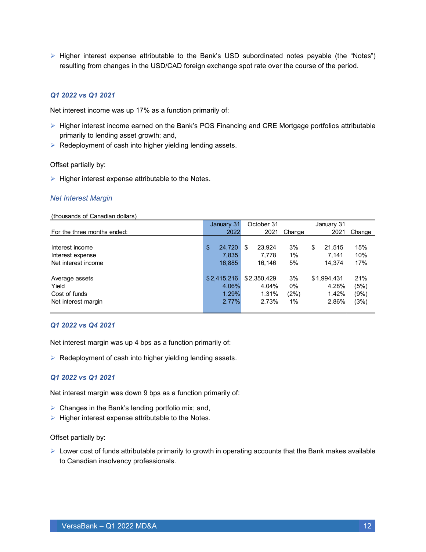➢ Higher interest expense attributable to the Bank's USD subordinated notes payable (the "Notes") resulting from changes in the USD/CAD foreign exchange spot rate over the course of the period.

#### *Q1 2022 vs Q1 2021*

Net interest income was up 17% as a function primarily of:

- ➢ Higher interest income earned on the Bank's POS Financing and CRE Mortgage portfolios attributable primarily to lending asset growth; and,
- ➢ Redeployment of cash into higher yielding lending assets.

#### Offset partially by:

 $\triangleright$  Higher interest expense attributable to the Notes.

#### *Net Interest Margin*

#### (thousands of Canadian dollars)

|                             | January 31   | October 31<br>January 31 |        |              |        |
|-----------------------------|--------------|--------------------------|--------|--------------|--------|
| For the three months ended: | 2022         | 2021                     | Change | 2021         | Change |
|                             |              |                          |        |              |        |
| Interest income             | \$<br>24,720 | 23.924<br>\$             | 3%     | \$<br>21.515 | 15%    |
| Interest expense            | 7,835        | 7,778                    | 1%     | 7,141        | 10%    |
| Net interest income         | 16,885       | 16,146                   | 5%     | 14.374       | 17%    |
|                             |              |                          |        |              |        |
| Average assets              | \$2,415,216  | \$2,350,429              | 3%     | \$1,994,431  | 21%    |
| Yield                       | 4.06%        | 4.04%                    | 0%     | 4.28%        | (5%)   |
| Cost of funds               | 1.29%        | 1.31%                    | (2%)   | 1.42%        | (9%)   |
| Net interest margin         | 2.77%        | 2.73%                    | $1\%$  | 2.86%        | (3%)   |
|                             |              |                          |        |              |        |

#### *Q1 2022 vs Q4 2021*

Net interest margin was up 4 bps as a function primarily of:

 $\triangleright$  Redeployment of cash into higher yielding lending assets.

#### *Q1 2022 vs Q1 2021*

Net interest margin was down 9 bps as a function primarily of:

- $\triangleright$  Changes in the Bank's lending portfolio mix; and,
- ➢ Higher interest expense attributable to the Notes.

#### Offset partially by:

➢ Lower cost of funds attributable primarily to growth in operating accounts that the Bank makes available to Canadian insolvency professionals.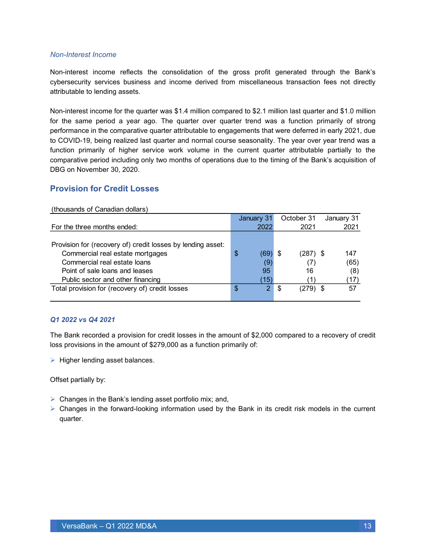#### *Non-Interest Income*

Non-interest income reflects the consolidation of the gross profit generated through the Bank's cybersecurity services business and income derived from miscellaneous transaction fees not directly attributable to lending assets.

Non-interest income for the quarter was \$1.4 million compared to \$2.1 million last quarter and \$1.0 million for the same period a year ago. The quarter over quarter trend was a function primarily of strong performance in the comparative quarter attributable to engagements that were deferred in early 2021, due to COVID-19, being realized last quarter and normal course seasonality. The year over year trend was a function primarily of higher service work volume in the current quarter attributable partially to the comparative period including only two months of operations due to the timing of the Bank's acquisition of DBG on November 30, 2020.

#### **Provision for Credit Losses**

#### (thousands of Canadian dollars)

|                                                             | January 31 | October 31 | January 31 |
|-------------------------------------------------------------|------------|------------|------------|
| For the three months ended:                                 | 2022       | 2021       | 2021       |
|                                                             |            |            |            |
| Provision for (recovery of) credit losses by lending asset: |            |            |            |
| Commercial real estate mortgages                            | \$<br>69'  | (287) \$   | 147        |
| Commercial real estate loans                                | (9)        |            | (65)       |
| Point of sale loans and leases                              | 95         | 16         | (8)        |
| Public sector and other financing                           | (15)       |            | 17)        |
| Total provision for (recovery of) credit losses             | \$<br>О.   | (279)      | 57         |
|                                                             |            |            |            |

#### *Q1 2022 vs Q4 2021*

The Bank recorded a provision for credit losses in the amount of \$2,000 compared to a recovery of credit loss provisions in the amount of \$279,000 as a function primarily of:

➢ Higher lending asset balances.

Offset partially by:

- ➢ Changes in the Bank's lending asset portfolio mix; and,
- ➢ Changes in the forward-looking information used by the Bank in its credit risk models in the current quarter.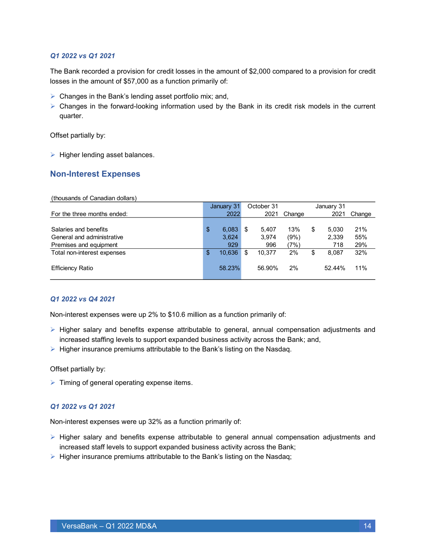#### *Q1 2022 vs Q1 2021*

The Bank recorded a provision for credit losses in the amount of \$2,000 compared to a provision for credit losses in the amount of \$57,000 as a function primarily of:

- $\triangleright$  Changes in the Bank's lending asset portfolio mix; and,
- $\triangleright$  Changes in the forward-looking information used by the Bank in its credit risk models in the current quarter.

Offset partially by:

➢ Higher lending asset balances.

#### **Non-Interest Expenses**

| (thousands of Canadian dollars) |
|---------------------------------|
|---------------------------------|

|                             | January 31   | October 31 |        |        |    |        |        | January 31 |  |  |  |
|-----------------------------|--------------|------------|--------|--------|----|--------|--------|------------|--|--|--|
| For the three months ended: | 2022         |            | 2021   | Change |    | 2021   | Change |            |  |  |  |
|                             |              |            |        |        |    |        |        |            |  |  |  |
| Salaries and benefits       | \$<br>6,083  |            | 5.407  | 13%    | \$ | 5.030  | 21%    |            |  |  |  |
| General and administrative  | 3,624        |            | 3,974  | (9%)   |    | 2,339  | 55%    |            |  |  |  |
| Premises and equipment      | 929          |            | 996    | 7%)    |    | 718    | 29%    |            |  |  |  |
| Total non-interest expenses | \$<br>10.636 |            | 10.377 | 2%     | \$ | 8.087  | 32%    |            |  |  |  |
|                             |              |            |        |        |    |        |        |            |  |  |  |
| <b>Efficiency Ratio</b>     | 58.23%       |            | 56.90% | 2%     |    | 52.44% | 11%    |            |  |  |  |
|                             |              |            |        |        |    |        |        |            |  |  |  |

#### *Q1 2022 vs Q4 2021*

Non-interest expenses were up 2% to \$10.6 million as a function primarily of:

- ➢ Higher salary and benefits expense attributable to general, annual compensation adjustments and increased staffing levels to support expanded business activity across the Bank; and,
- $\triangleright$  Higher insurance premiums attributable to the Bank's listing on the Nasdaq.

Offset partially by:

➢ Timing of general operating expense items.

#### *Q1 2022 vs Q1 2021*

Non-interest expenses were up 32% as a function primarily of:

- ➢ Higher salary and benefits expense attributable to general annual compensation adjustments and increased staff levels to support expanded business activity across the Bank;
- ➢ Higher insurance premiums attributable to the Bank's listing on the Nasdaq;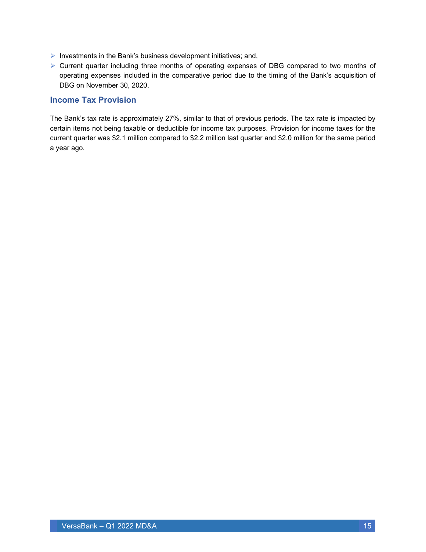- $\triangleright$  Investments in the Bank's business development initiatives; and,
- ➢ Current quarter including three months of operating expenses of DBG compared to two months of operating expenses included in the comparative period due to the timing of the Bank's acquisition of DBG on November 30, 2020.

#### **Income Tax Provision**

The Bank's tax rate is approximately 27%, similar to that of previous periods. The tax rate is impacted by certain items not being taxable or deductible for income tax purposes. Provision for income taxes for the current quarter was \$2.1 million compared to \$2.2 million last quarter and \$2.0 million for the same period a year ago.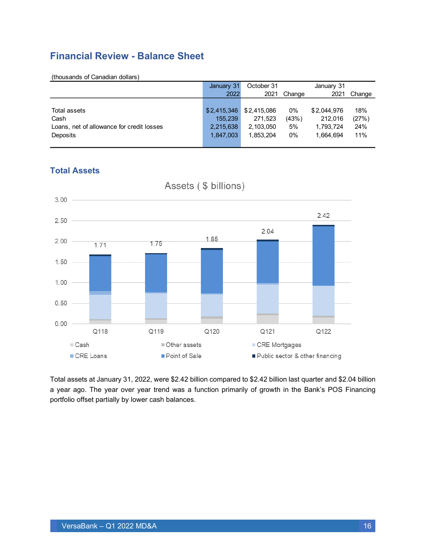### <span id="page-15-0"></span>**Financial Review - Balance Sheet**

|                                           | January 31  | October 31  |        | January 31  |        |
|-------------------------------------------|-------------|-------------|--------|-------------|--------|
|                                           | 2022        | 2021        | Change | 2021        | Change |
|                                           |             |             |        |             |        |
| Total assets                              | \$2,415,346 | \$2,415,086 | 0%     | \$2,044,976 | 18%    |
| Cash                                      | 155,239     | 271.523     | (43%)  | 212.016     | (27%)  |
| Loans, net of allowance for credit losses | 2,215,638   | 2,103,050   | 5%     | 1,793,724   | 24%    |
| Deposits                                  | 1,847,003   | 1,853,204   | 0%     | 1.664.694   | 11%    |
|                                           |             |             |        |             |        |

### **Total Assets**



Total assets at January 31, 2022, were \$2.42 billion compared to \$2.42 billion last quarter and \$2.04 billion a year ago. The year over year trend was a function primarily of growth in the Bank's POS Financing portfolio offset partially by lower cash balances.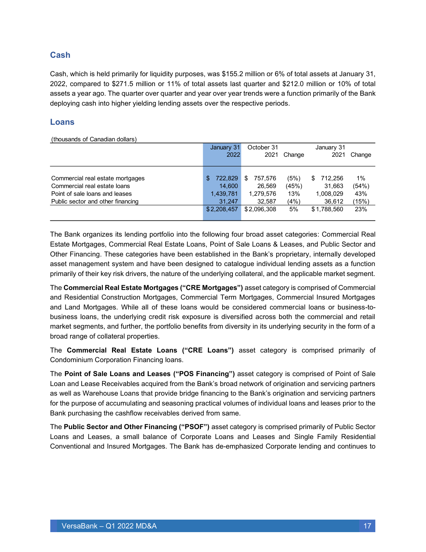### **Cash**

Cash, which is held primarily for liquidity purposes, was \$155.2 million or 6% of total assets at January 31, 2022, compared to \$271.5 million or 11% of total assets last quarter and \$212.0 million or 10% of total assets a year ago. The quarter over quarter and year over year trends were a function primarily of the Bank deploying cash into higher yielding lending assets over the respective periods.

#### **Loans**

(thousands of Canadian dollars)

|                                   | January 31    | October 31   |        | January 31    |         |
|-----------------------------------|---------------|--------------|--------|---------------|---------|
|                                   | 2022          | 2021         | Change | 2021          | Change  |
|                                   |               |              |        |               |         |
|                                   |               |              |        |               |         |
| Commercial real estate mortgages  | 722,829<br>\$ | 757.576<br>S | (5%)   | 712,256<br>\$ | $1\%$   |
| Commercial real estate loans      | 14.600        | 26,569       | (45%)  | 31,663        | (54%)   |
| Point of sale loans and leases    | 1,439,781     | 1,279,576    | 13%    | 1,008,029     | 43%     |
| Public sector and other financing | 31.247        | 32,587       | (4%)   | 36,612        | $15\%)$ |
|                                   | \$2,208,457   | \$2.096.308  | 5%     | \$1.788.560   | 23%     |
|                                   |               |              |        |               |         |

The Bank organizes its lending portfolio into the following four broad asset categories: Commercial Real Estate Mortgages, Commercial Real Estate Loans, Point of Sale Loans & Leases, and Public Sector and Other Financing. These categories have been established in the Bank's proprietary, internally developed asset management system and have been designed to catalogue individual lending assets as a function primarily of their key risk drivers, the nature of the underlying collateral, and the applicable market segment.

The **Commercial Real Estate Mortgages ("CRE Mortgages")** asset category is comprised of Commercial and Residential Construction Mortgages, Commercial Term Mortgages, Commercial Insured Mortgages and Land Mortgages. While all of these loans would be considered commercial loans or business-tobusiness loans, the underlying credit risk exposure is diversified across both the commercial and retail market segments, and further, the portfolio benefits from diversity in its underlying security in the form of a broad range of collateral properties.

The **Commercial Real Estate Loans ("CRE Loans")** asset category is comprised primarily of Condominium Corporation Financing loans.

The **Point of Sale Loans and Leases ("POS Financing")** asset category is comprised of Point of Sale Loan and Lease Receivables acquired from the Bank's broad network of origination and servicing partners as well as Warehouse Loans that provide bridge financing to the Bank's origination and servicing partners for the purpose of accumulating and seasoning practical volumes of individual loans and leases prior to the Bank purchasing the cashflow receivables derived from same.

The **Public Sector and Other Financing ("PSOF")** asset category is comprised primarily of Public Sector Loans and Leases, a small balance of Corporate Loans and Leases and Single Family Residential Conventional and Insured Mortgages. The Bank has de-emphasized Corporate lending and continues to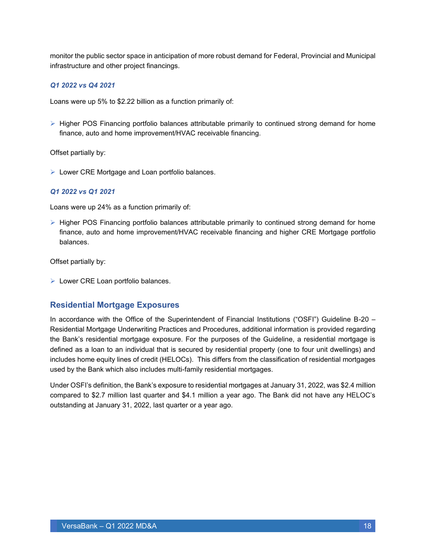monitor the public sector space in anticipation of more robust demand for Federal, Provincial and Municipal infrastructure and other project financings.

#### *Q1 2022 vs Q4 2021*

Loans were up 5% to \$2.22 billion as a function primarily of:

➢ Higher POS Financing portfolio balances attributable primarily to continued strong demand for home finance, auto and home improvement/HVAC receivable financing.

Offset partially by:

➢ Lower CRE Mortgage and Loan portfolio balances.

#### *Q1 2022 vs Q1 2021*

Loans were up 24% as a function primarily of:

➢ Higher POS Financing portfolio balances attributable primarily to continued strong demand for home finance, auto and home improvement/HVAC receivable financing and higher CRE Mortgage portfolio balances.

Offset partially by:

➢ Lower CRE Loan portfolio balances.

#### **Residential Mortgage Exposures**

In accordance with the Office of the Superintendent of Financial Institutions ("OSFI") Guideline B-20 – Residential Mortgage Underwriting Practices and Procedures, additional information is provided regarding the Bank's residential mortgage exposure. For the purposes of the Guideline, a residential mortgage is defined as a loan to an individual that is secured by residential property (one to four unit dwellings) and includes home equity lines of credit (HELOCs). This differs from the classification of residential mortgages used by the Bank which also includes multi-family residential mortgages.

Under OSFI's definition, the Bank's exposure to residential mortgages at January 31, 2022, was \$2.4 million compared to \$2.7 million last quarter and \$4.1 million a year ago. The Bank did not have any HELOC's outstanding at January 31, 2022, last quarter or a year ago.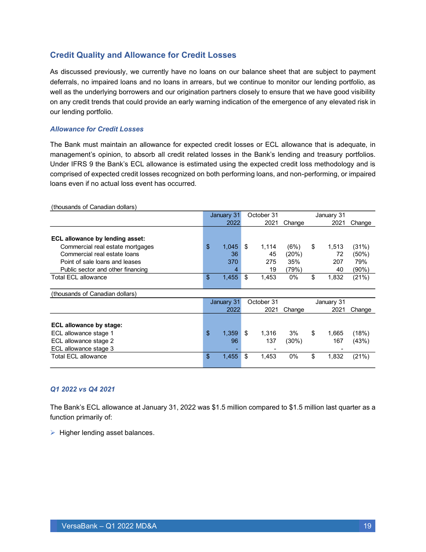### **Credit Quality and Allowance for Credit Losses**

As discussed previously, we currently have no loans on our balance sheet that are subject to payment deferrals, no impaired loans and no loans in arrears, but we continue to monitor our lending portfolio, as well as the underlying borrowers and our origination partners closely to ensure that we have good visibility on any credit trends that could provide an early warning indication of the emergence of any elevated risk in our lending portfolio.

#### *Allowance for Credit Losses*

The Bank must maintain an allowance for expected credit losses or ECL allowance that is adequate, in management's opinion, to absorb all credit related losses in the Bank's lending and treasury portfolios. Under IFRS 9 the Bank's ECL allowance is estimated using the expected credit loss methodology and is comprised of expected credit losses recognized on both performing loans, and non-performing, or impaired loans even if no actual loss event has occurred.

| $($ ulousarius or Odriaaidi dollars $)$ |             |             |        |             |        |
|-----------------------------------------|-------------|-------------|--------|-------------|--------|
|                                         | January 31  | October 31  |        | January 31  |        |
|                                         | 2022        | 2021        | Change | 2021        | Change |
|                                         |             |             |        |             |        |
| ECL allowance by lending asset:         |             |             |        |             |        |
| Commercial real estate mortgages        | \$<br>1,045 | \$<br>1,114 | (6%)   | \$<br>1,513 | (31%)  |
| Commercial real estate loans            | 36          | 45          | (20%)  | 72          | (50%)  |
| Point of sale loans and leases          | 370         | 275         | 35%    | 207         | 79%    |
| Public sector and other financing       |             | 19          | (79%)  | 40          | (90%)  |
| <b>Total ECL allowance</b>              | \$<br>1,455 | \$<br>1,453 | $0\%$  | \$<br>1,832 | (21%)  |
|                                         |             |             |        |             |        |
| (thousands of Canadian dollars)         |             |             |        |             |        |
|                                         | January 31  | October 31  |        | January 31  |        |
|                                         | 2022        | 2021        | Change | 2021        | Change |
|                                         |             |             |        |             |        |
| ECL allowance by stage:                 |             |             |        |             |        |
| ECL allowance stage 1                   | \$<br>1,359 | \$<br>1,316 | 3%     | \$<br>1,665 | (18%)  |
| ECL allowance stage 2                   | 96          | 137         | (30%)  | 167         | (43%)  |
| ECL allowance stage 3                   |             |             |        |             |        |
| <b>Total ECL allowance</b>              | \$<br>1,455 | \$<br>1,453 | 0%     | \$<br>1,832 | (21%)  |
|                                         |             |             |        |             |        |

(thousands of Canadian dollars)

#### *Q1 2022 vs Q4 2021*

The Bank's ECL allowance at January 31, 2022 was \$1.5 million compared to \$1.5 million last quarter as a function primarily of:

 $\triangleright$  Higher lending asset balances.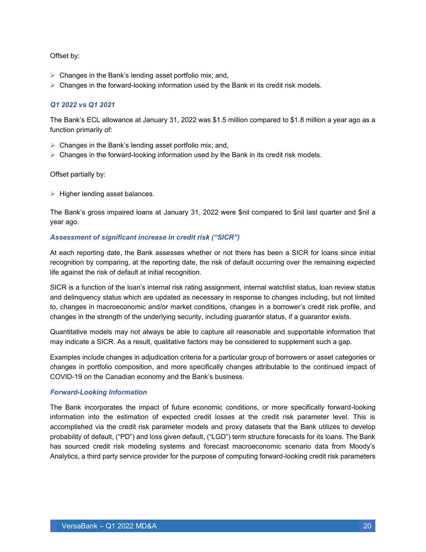#### Offset by:

- $\triangleright$  Changes in the Bank's lending asset portfolio mix; and,
- $\triangleright$  Changes in the forward-looking information used by the Bank in its credit risk models.

#### *Q1 2022 vs Q1 2021*

The Bank's ECL allowance at January 31, 2022 was \$1.5 million compared to \$1.8 million a year ago as a function primarily of:

- $\triangleright$  Changes in the Bank's lending asset portfolio mix; and,
- $\triangleright$  Changes in the forward-looking information used by the Bank in its credit risk models.

#### Offset partially by:

 $\triangleright$  Higher lending asset balances.

The Bank's gross impaired loans at January 31, 2022 were \$nil compared to \$nil last quarter and \$nil a year ago.

#### *Assessment of significant increase in credit risk ("SICR")*

At each reporting date, the Bank assesses whether or not there has been a SICR for loans since initial recognition by comparing, at the reporting date, the risk of default occurring over the remaining expected life against the risk of default at initial recognition.

SICR is a function of the loan's internal risk rating assignment, internal watchlist status, loan review status and delinquency status which are updated as necessary in response to changes including, but not limited to, changes in macroeconomic and/or market conditions, changes in a borrower's credit risk profile, and changes in the strength of the underlying security, including guarantor status, if a guarantor exists.

Quantitative models may not always be able to capture all reasonable and supportable information that may indicate a SICR. As a result, qualitative factors may be considered to supplement such a gap.

Examples include changes in adjudication criteria for a particular group of borrowers or asset categories or changes in portfolio composition, and more specifically changes attributable to the continued impact of COVID-19 on the Canadian economy and the Bank's business.

#### *Forward-Looking Information*

The Bank incorporates the impact of future economic conditions, or more specifically forward-looking information into the estimation of expected credit losses at the credit risk parameter level. This is accomplished via the credit risk parameter models and proxy datasets that the Bank utilizes to develop probability of default, ("PD") and loss given default, ("LGD") term structure forecasts for its loans. The Bank has sourced credit risk modeling systems and forecast macroeconomic scenario data from Moody's Analytics, a third party service provider for the purpose of computing forward-looking credit risk parameters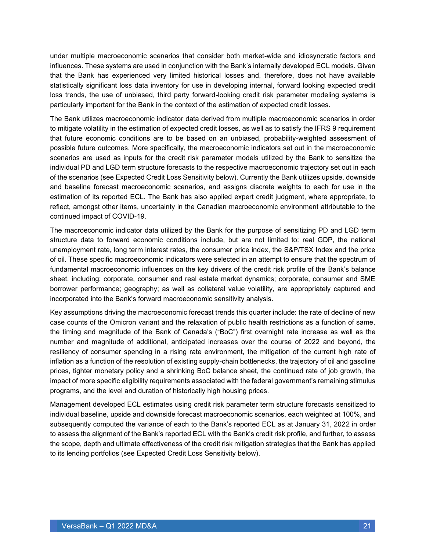under multiple macroeconomic scenarios that consider both market-wide and idiosyncratic factors and influences. These systems are used in conjunction with the Bank's internally developed ECL models. Given that the Bank has experienced very limited historical losses and, therefore, does not have available statistically significant loss data inventory for use in developing internal, forward looking expected credit loss trends, the use of unbiased, third party forward-looking credit risk parameter modeling systems is particularly important for the Bank in the context of the estimation of expected credit losses.

The Bank utilizes macroeconomic indicator data derived from multiple macroeconomic scenarios in order to mitigate volatility in the estimation of expected credit losses, as well as to satisfy the IFRS 9 requirement that future economic conditions are to be based on an unbiased, probability-weighted assessment of possible future outcomes. More specifically, the macroeconomic indicators set out in the macroeconomic scenarios are used as inputs for the credit risk parameter models utilized by the Bank to sensitize the individual PD and LGD term structure forecasts to the respective macroeconomic trajectory set out in each of the scenarios (see Expected Credit Loss Sensitivity below). Currently the Bank utilizes upside, downside and baseline forecast macroeconomic scenarios, and assigns discrete weights to each for use in the estimation of its reported ECL. The Bank has also applied expert credit judgment, where appropriate, to reflect, amongst other items, uncertainty in the Canadian macroeconomic environment attributable to the continued impact of COVID-19.

The macroeconomic indicator data utilized by the Bank for the purpose of sensitizing PD and LGD term structure data to forward economic conditions include, but are not limited to: real GDP, the national unemployment rate, long term interest rates, the consumer price index, the S&P/TSX Index and the price of oil. These specific macroeconomic indicators were selected in an attempt to ensure that the spectrum of fundamental macroeconomic influences on the key drivers of the credit risk profile of the Bank's balance sheet, including: corporate, consumer and real estate market dynamics; corporate, consumer and SME borrower performance; geography; as well as collateral value volatility, are appropriately captured and incorporated into the Bank's forward macroeconomic sensitivity analysis.

Key assumptions driving the macroeconomic forecast trends this quarter include: the rate of decline of new case counts of the Omicron variant and the relaxation of public health restrictions as a function of same, the timing and magnitude of the Bank of Canada's ("BoC") first overnight rate increase as well as the number and magnitude of additional, anticipated increases over the course of 2022 and beyond, the resiliency of consumer spending in a rising rate environment, the mitigation of the current high rate of inflation as a function of the resolution of existing supply-chain bottlenecks, the trajectory of oil and gasoline prices, tighter monetary policy and a shrinking BoC balance sheet, the continued rate of job growth, the impact of more specific eligibility requirements associated with the federal government's remaining stimulus programs, and the level and duration of historically high housing prices.

Management developed ECL estimates using credit risk parameter term structure forecasts sensitized to individual baseline, upside and downside forecast macroeconomic scenarios, each weighted at 100%, and subsequently computed the variance of each to the Bank's reported ECL as at January 31, 2022 in order to assess the alignment of the Bank's reported ECL with the Bank's credit risk profile, and further, to assess the scope, depth and ultimate effectiveness of the credit risk mitigation strategies that the Bank has applied to its lending portfolios (see Expected Credit Loss Sensitivity below).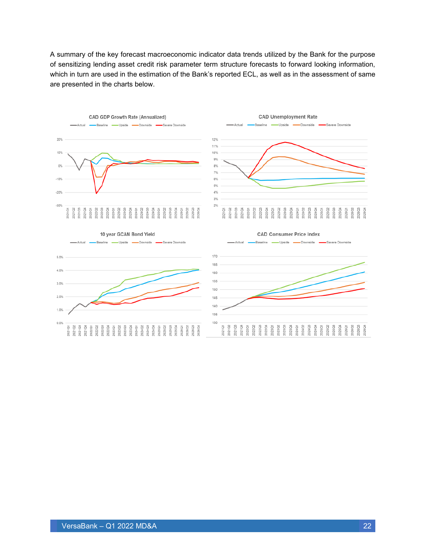A summary of the key forecast macroeconomic indicator data trends utilized by the Bank for the purpose of sensitizing lending asset credit risk parameter term structure forecasts to forward looking information, which in turn are used in the estimation of the Bank's reported ECL, as well as in the assessment of same are presented in the charts below.





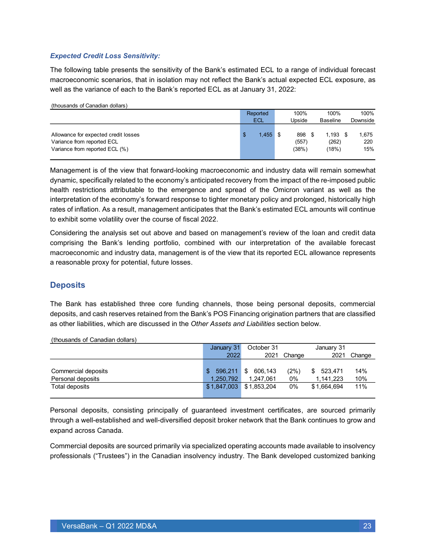#### *Expected Credit Loss Sensitivity:*

The following table presents the sensitivity of the Bank's estimated ECL to a range of individual forecast macroeconomic scenarios, that in isolation may not reflect the Bank's actual expected ECL exposure, as well as the variance of each to the Bank's reported ECL as at January 31, 2022:

| (thousands of Canadian dollars)                                                                      |            |            |                       |                              |                     |                 |          |
|------------------------------------------------------------------------------------------------------|------------|------------|-----------------------|------------------------------|---------------------|-----------------|----------|
|                                                                                                      | Reported   |            | 100%                  | 100%                         | 100%                |                 |          |
|                                                                                                      | <b>ECL</b> |            |                       |                              | Upside              | <b>Baseline</b> | Downside |
| Allowance for expected credit losses<br>Variance from reported ECL<br>Variance from reported ECL (%) | S          | $1,455$ \$ | 898<br>(557)<br>(38%) | $1.193$ \$<br>(262)<br>(18%) | 1.675<br>220<br>15% |                 |          |

Management is of the view that forward-looking macroeconomic and industry data will remain somewhat dynamic, specifically related to the economy's anticipated recovery from the impact of the re-imposed public health restrictions attributable to the emergence and spread of the Omicron variant as well as the interpretation of the economy's forward response to tighter monetary policy and prolonged, historically high rates of inflation. As a result, management anticipates that the Bank's estimated ECL amounts will continue to exhibit some volatility over the course of fiscal 2022.

Considering the analysis set out above and based on management's review of the loan and credit data comprising the Bank's lending portfolio, combined with our interpretation of the available forecast macroeconomic and industry data, management is of the view that its reported ECL allowance represents a reasonable proxy for potential, future losses.

#### **Deposits**

The Bank has established three core funding channels, those being personal deposits, commercial deposits, and cash reserves retained from the Bank's POS Financing origination partners that are classified as other liabilities, which are discussed in the *Other Assets and Liabilities* section below.

|                     | January 31    | October 31    |        | January 31    |        |
|---------------------|---------------|---------------|--------|---------------|--------|
|                     | 2022          | 2021          | Change | 2021          | Change |
|                     |               |               |        |               |        |
| Commercial deposits | \$<br>596,211 | 606,143<br>\$ | (2%)   | 523.471<br>\$ | 14%    |
| Personal deposits   | 1,250,792     | 1,247,061     | 0%     | 1,141,223     | 10%    |
| Total deposits      | \$1,847,003   | \$1,853,204   | 0%     | \$1.664.694   | 11%    |
|                     |               |               |        |               |        |

(thousands of Canadian dollars)

Personal deposits, consisting principally of guaranteed investment certificates, are sourced primarily through a well-established and well-diversified deposit broker network that the Bank continues to grow and expand across Canada.

Commercial deposits are sourced primarily via specialized operating accounts made available to insolvency professionals ("Trustees") in the Canadian insolvency industry. The Bank developed customized banking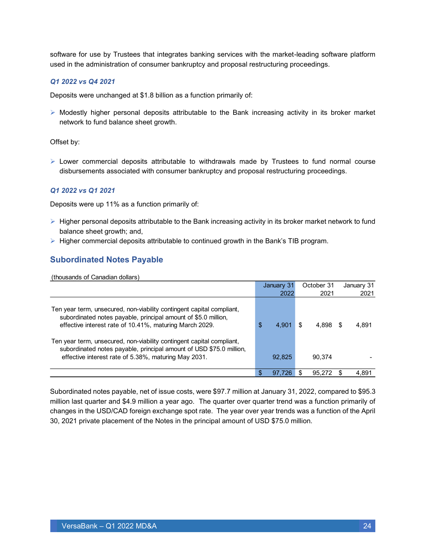software for use by Trustees that integrates banking services with the market-leading software platform used in the administration of consumer bankruptcy and proposal restructuring proceedings.

#### *Q1 2022 vs Q4 2021*

Deposits were unchanged at \$1.8 billion as a function primarily of:

 $\triangleright$  Modestly higher personal deposits attributable to the Bank increasing activity in its broker market network to fund balance sheet growth.

Offset by:

 $\triangleright$  Lower commercial deposits attributable to withdrawals made by Trustees to fund normal course disbursements associated with consumer bankruptcy and proposal restructuring proceedings.

#### *Q1 2022 vs Q1 2021*

Deposits were up 11% as a function primarily of:

- ➢ Higher personal deposits attributable to the Bank increasing activity in its broker market network to fund balance sheet growth; and,
- $\triangleright$  Higher commercial deposits attributable to continued growth in the Bank's TIB program.

### **Subordinated Notes Payable**

(thousands of Canadian dollars)

|                                                                                                                                                                                                      | January 31  |     | October 31 | January 31 |
|------------------------------------------------------------------------------------------------------------------------------------------------------------------------------------------------------|-------------|-----|------------|------------|
|                                                                                                                                                                                                      | 2022        |     | 2021       | 2021       |
| Ten year term, unsecured, non-viability contingent capital compliant,<br>subordinated notes payable, principal amount of \$5.0 million,<br>effective interest rate of 10.41%, maturing March 2029.   | \$<br>4.901 | \$. | 4.898      | 4,891      |
| Ten year term, unsecured, non-viability contingent capital compliant,<br>subordinated notes payable, principal amount of USD \$75.0 million,<br>effective interest rate of 5.38%, maturing May 2031. | 92,825      |     | 90.374     |            |
|                                                                                                                                                                                                      | 97.726      |     | 95.272     | 4,891      |

Subordinated notes payable, net of issue costs, were \$97.7 million at January 31, 2022, compared to \$95.3 million last quarter and \$4.9 million a year ago. The quarter over quarter trend was a function primarily of changes in the USD/CAD foreign exchange spot rate. The year over year trends was a function of the April 30, 2021 private placement of the Notes in the principal amount of USD \$75.0 million.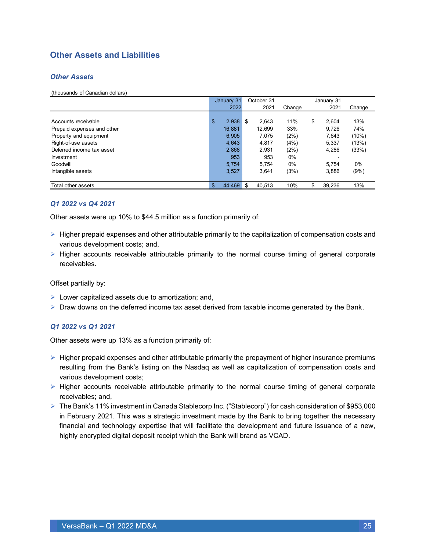### **Other Assets and Liabilities**

#### *Other Assets*

(thousands of Canadian dollars)

|                            | January 31 |        | October 31 |        | January 31 |              |          |  |
|----------------------------|------------|--------|------------|--------|------------|--------------|----------|--|
|                            |            | 2022   |            | 2021   | Change     | 2021         | Change   |  |
|                            |            |        |            |        |            |              |          |  |
| Accounts receivable        | \$         | 2,938  | \$         | 2.643  | 11%        | \$<br>2.604  | 13%      |  |
| Prepaid expenses and other |            | 16,881 |            | 12,699 | 33%        | 9.726        | 74%      |  |
| Property and equipment     |            | 6,905  |            | 7,075  | (2%)       | 7,643        | $(10\%)$ |  |
| Right-of-use assets        |            | 4,643  |            | 4,817  | (4% )      | 5.337        | (13%)    |  |
| Deferred income tax asset  |            | 2,868  |            | 2,931  | (2%)       | 4,286        | (33%)    |  |
| Investment                 |            | 953    |            | 953    | $0\%$      |              |          |  |
| Goodwill                   |            | 5,754  |            | 5,754  | $0\%$      | 5.754        | 0%       |  |
| Intangible assets          |            | 3,527  |            | 3,641  | (3%)       | 3,886        | (9%)     |  |
|                            |            |        |            |        |            |              |          |  |
| Total other assets         | \$         | 44,469 | \$         | 40,513 | 10%        | \$<br>39,236 | 13%      |  |

#### *Q1 2022 vs Q4 2021*

Other assets were up 10% to \$44.5 million as a function primarily of:

- $\triangleright$  Higher prepaid expenses and other attributable primarily to the capitalization of compensation costs and various development costs; and,
- ➢ Higher accounts receivable attributable primarily to the normal course timing of general corporate receivables.

Offset partially by:

- $\triangleright$  Lower capitalized assets due to amortization; and,
- $\triangleright$  Draw downs on the deferred income tax asset derived from taxable income generated by the Bank.

#### *Q1 2022 vs Q1 2021*

Other assets were up 13% as a function primarily of:

- $\triangleright$  Higher prepaid expenses and other attributable primarily the prepayment of higher insurance premiums resulting from the Bank's listing on the Nasdaq as well as capitalization of compensation costs and various development costs;
- ➢ Higher accounts receivable attributable primarily to the normal course timing of general corporate receivables; and,
- ➢ The Bank's 11% investment in Canada Stablecorp Inc. ("Stablecorp") for cash consideration of \$953,000 in February 2021. This was a strategic investment made by the Bank to bring together the necessary financial and technology expertise that will facilitate the development and future issuance of a new, highly encrypted digital deposit receipt which the Bank will brand as VCAD.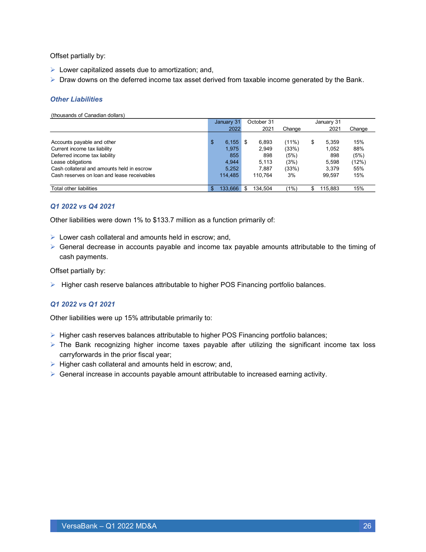Offset partially by:

- $\triangleright$  Lower capitalized assets due to amortization; and,
- $\triangleright$  Draw downs on the deferred income tax asset derived from taxable income generated by the Bank.

#### *Other Liabilities*

(thousands of Canadian dollars)

|                                             | January 31    | October 31 |          |    | January 31 |        |  |
|---------------------------------------------|---------------|------------|----------|----|------------|--------|--|
|                                             | 2022          | 2021       | Change   |    | 2021       | Change |  |
|                                             |               |            |          |    |            |        |  |
| Accounts payable and other                  | \$<br>6,155   | 6,893      | $(11\%)$ | \$ | 5.359      | 15%    |  |
| Current income tax liability                | 1.975         | 2,949      | (33%)    |    | 1.052      | 88%    |  |
| Deferred income tax liability               | 855           | 898        | (5%)     |    | 898        | (5%)   |  |
| Lease obligations                           | 4.944         | 5.113      | (3%)     |    | 5.598      | (12%)  |  |
| Cash collateral and amounts held in escrow  | 5,252         | 7.887      | (33%)    |    | 3.379      | 55%    |  |
| Cash reserves on loan and lease receivables | 114.485       | 110.764    | 3%       |    | 99.597     | 15%    |  |
|                                             |               |            |          |    |            |        |  |
| Total other liabilities                     | \$<br>133.666 | 134.504    | $1\%$    | S  | 115.883    | 15%    |  |

#### *Q1 2022 vs Q4 2021*

Other liabilities were down 1% to \$133.7 million as a function primarily of:

- ➢ Lower cash collateral and amounts held in escrow; and,
- $\triangleright$  General decrease in accounts payable and income tax payable amounts attributable to the timing of cash payments.

Offset partially by:

 $\triangleright$  Higher cash reserve balances attributable to higher POS Financing portfolio balances.

#### *Q1 2022 vs Q1 2021*

Other liabilities were up 15% attributable primarily to:

- ➢ Higher cash reserves balances attributable to higher POS Financing portfolio balances;
- ➢ The Bank recognizing higher income taxes payable after utilizing the significant income tax loss carryforwards in the prior fiscal year;
- ➢ Higher cash collateral and amounts held in escrow; and,
- $\triangleright$  General increase in accounts payable amount attributable to increased earning activity.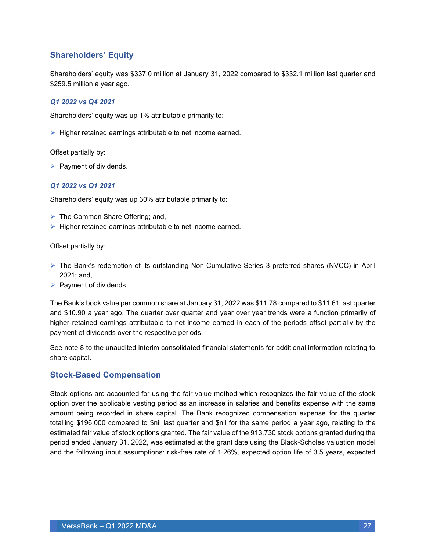### **Shareholders' Equity**

Shareholders' equity was \$337.0 million at January 31, 2022 compared to \$332.1 million last quarter and \$259.5 million a year ago.

#### *Q1 2022 vs Q4 2021*

Shareholders' equity was up 1% attributable primarily to:

➢ Higher retained earnings attributable to net income earned.

Offset partially by:

 $\triangleright$  Payment of dividends.

#### *Q1 2022 vs Q1 2021*

Shareholders' equity was up 30% attributable primarily to:

- $\triangleright$  The Common Share Offering; and,
- ➢ Higher retained earnings attributable to net income earned.

Offset partially by:

- ➢ The Bank's redemption of its outstanding Non-Cumulative Series 3 preferred shares (NVCC) in April 2021; and,
- $\triangleright$  Payment of dividends.

The Bank's book value per common share at January 31, 2022 was \$11.78 compared to \$11.61 last quarter and \$10.90 a year ago. The quarter over quarter and year over year trends were a function primarily of higher retained earnings attributable to net income earned in each of the periods offset partially by the payment of dividends over the respective periods.

See note 8 to the unaudited interim consolidated financial statements for additional information relating to share capital.

#### **Stock-Based Compensation**

Stock options are accounted for using the fair value method which recognizes the fair value of the stock option over the applicable vesting period as an increase in salaries and benefits expense with the same amount being recorded in share capital. The Bank recognized compensation expense for the quarter totalling \$196,000 compared to \$nil last quarter and \$nil for the same period a year ago, relating to the estimated fair value of stock options granted. The fair value of the 913,730 stock options granted during the period ended January 31, 2022, was estimated at the grant date using the Black-Scholes valuation model and the following input assumptions: risk-free rate of 1.26%, expected option life of 3.5 years, expected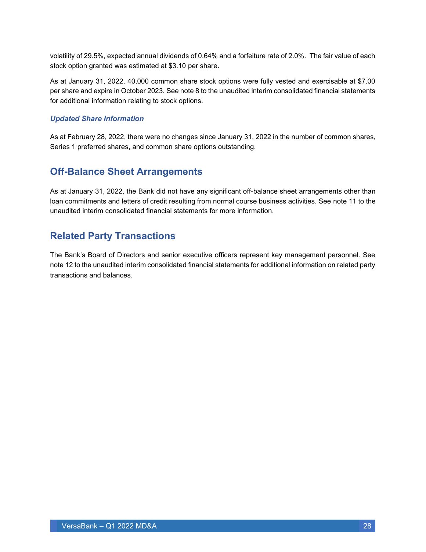volatility of 29.5%, expected annual dividends of 0.64% and a forfeiture rate of 2.0%. The fair value of each stock option granted was estimated at \$3.10 per share.

As at January 31, 2022, 40,000 common share stock options were fully vested and exercisable at \$7.00 per share and expire in October 2023. See note 8 to the unaudited interim consolidated financial statements for additional information relating to stock options.

#### *Updated Share Information*

As at February 28, 2022, there were no changes since January 31, 2022 in the number of common shares, Series 1 preferred shares, and common share options outstanding.

### <span id="page-27-0"></span>**Off-Balance Sheet Arrangements**

As at January 31, 2022, the Bank did not have any significant off-balance sheet arrangements other than loan commitments and letters of credit resulting from normal course business activities. See note 11 to the unaudited interim consolidated financial statements for more information.

### <span id="page-27-1"></span>**Related Party Transactions**

The Bank's Board of Directors and senior executive officers represent key management personnel. See note 12 to the unaudited interim consolidated financial statements for additional information on related party transactions and balances.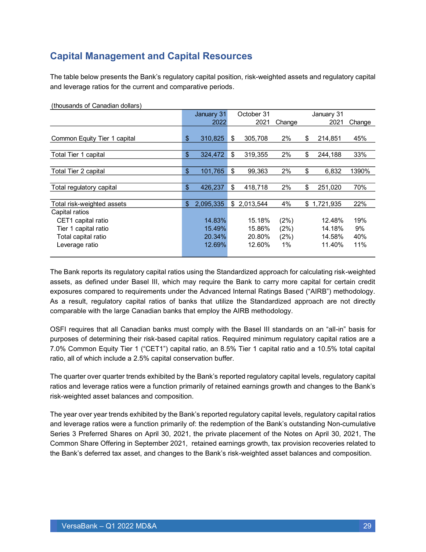### <span id="page-28-0"></span>**Capital Management and Capital Resources**

The table below presents the Bank's regulatory capital position, risk-weighted assets and regulatory capital and leverage ratios for the current and comparative periods.

|                              |                   | January 31 | October 31 |             |        |    | January 31  |        |  |  |  |  |
|------------------------------|-------------------|------------|------------|-------------|--------|----|-------------|--------|--|--|--|--|
|                              |                   | 2022       |            | 2021        | Change |    | 2021        | Change |  |  |  |  |
|                              |                   |            |            |             |        |    |             |        |  |  |  |  |
| Common Equity Tier 1 capital | \$                | 310,825    | \$         | 305,708     | 2%     | \$ | 214,851     | 45%    |  |  |  |  |
|                              |                   |            |            |             |        |    |             |        |  |  |  |  |
| Total Tier 1 capital         | $\frac{1}{2}$     | 324,472    | \$         | 319,355     | 2%     | \$ | 244,188     | 33%    |  |  |  |  |
|                              |                   |            |            |             |        |    |             |        |  |  |  |  |
| Total Tier 2 capital         | $\boldsymbol{\$}$ | 101,765    | \$         | 99,363      | 2%     | \$ | 6,832       | 1390%  |  |  |  |  |
|                              |                   |            |            |             |        |    |             |        |  |  |  |  |
| Total regulatory capital     | $\frac{1}{2}$     | 426,237    | \$         | 418,718     | 2%     | \$ | 251,020     | 70%    |  |  |  |  |
|                              |                   |            |            |             |        |    |             |        |  |  |  |  |
| Total risk-weighted assets   | \$                | 2,095,335  |            | \$2,013,544 | 4%     |    | \$1,721,935 | 22%    |  |  |  |  |
| Capital ratios               |                   |            |            |             |        |    |             |        |  |  |  |  |
| CET1 capital ratio           |                   | 14.83%     |            | 15.18%      | (2%)   |    | 12.48%      | 19%    |  |  |  |  |
| Tier 1 capital ratio         |                   | 15.49%     |            | 15.86%      | (2%)   |    | 14.18%      | 9%     |  |  |  |  |
| Total capital ratio          |                   | 20.34%     |            | 20.80%      | (2%)   |    | 14.58%      | 40%    |  |  |  |  |
| Leverage ratio               |                   | 12.69%     |            | 12.60%      | 1%     |    | 11.40%      | 11%    |  |  |  |  |
|                              |                   |            |            |             |        |    |             |        |  |  |  |  |

(thousands of Canadian dollars)

The Bank reports its regulatory capital ratios using the Standardized approach for calculating risk-weighted assets, as defined under Basel III, which may require the Bank to carry more capital for certain credit exposures compared to requirements under the Advanced Internal Ratings Based ("AIRB") methodology. As a result, regulatory capital ratios of banks that utilize the Standardized approach are not directly comparable with the large Canadian banks that employ the AIRB methodology.

OSFI requires that all Canadian banks must comply with the Basel III standards on an "all-in" basis for purposes of determining their risk-based capital ratios. Required minimum regulatory capital ratios are a 7.0% Common Equity Tier 1 ("CET1") capital ratio, an 8.5% Tier 1 capital ratio and a 10.5% total capital ratio, all of which include a 2.5% capital conservation buffer.

The quarter over quarter trends exhibited by the Bank's reported regulatory capital levels, regulatory capital ratios and leverage ratios were a function primarily of retained earnings growth and changes to the Bank's risk-weighted asset balances and composition.

The year over year trends exhibited by the Bank's reported regulatory capital levels, regulatory capital ratios and leverage ratios were a function primarily of: the redemption of the Bank's outstanding Non-cumulative Series 3 Preferred Shares on April 30, 2021, the private placement of the Notes on April 30, 2021, The Common Share Offering in September 2021, retained earnings growth, tax provision recoveries related to the Bank's deferred tax asset, and changes to the Bank's risk-weighted asset balances and composition.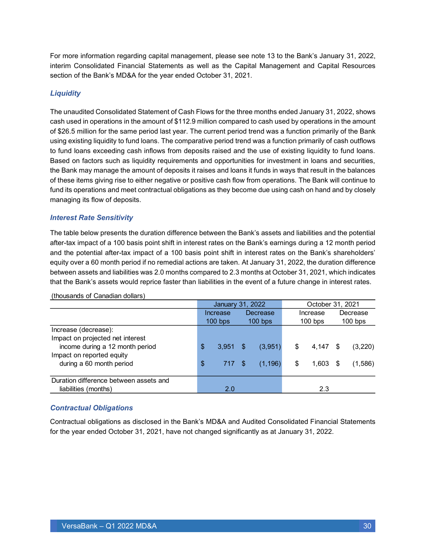For more information regarding capital management, please see note 13 to the Bank's January 31, 2022, interim Consolidated Financial Statements as well as the Capital Management and Capital Resources section of the Bank's MD&A for the year ended October 31, 2021.

#### *Liquidity*

The unaudited Consolidated Statement of Cash Flows for the three months ended January 31, 2022, shows cash used in operations in the amount of \$112.9 million compared to cash used by operations in the amount of \$26.5 million for the same period last year. The current period trend was a function primarily of the Bank using existing liquidity to fund loans. The comparative period trend was a function primarily of cash outflows to fund loans exceeding cash inflows from deposits raised and the use of existing liquidity to fund loans. Based on factors such as liquidity requirements and opportunities for investment in loans and securities, the Bank may manage the amount of deposits it raises and loans it funds in ways that result in the balances of these items giving rise to either negative or positive cash flow from operations. The Bank will continue to fund its operations and meet contractual obligations as they become due using cash on hand and by closely managing its flow of deposits.

#### *Interest Rate Sensitivity*

The table below presents the duration difference between the Bank's assets and liabilities and the potential after-tax impact of a 100 basis point shift in interest rates on the Bank's earnings during a 12 month period and the potential after-tax impact of a 100 basis point shift in interest rates on the Bank's shareholders' equity over a 60 month period if no remedial actions are taken. At January 31, 2022, the duration difference between assets and liabilities was 2.0 months compared to 2.3 months at October 31, 2021, which indicates that the Bank's assets would reprice faster than liabilities in the event of a future change in interest rates.

|                                        |                                     | January 31, 2022 |     |          | October 31, 2021 |          |           |         |  |  |  |  |
|----------------------------------------|-------------------------------------|------------------|-----|----------|------------------|----------|-----------|---------|--|--|--|--|
|                                        |                                     | Increase         |     | Decrease |                  | Increase | Decrease  |         |  |  |  |  |
|                                        | $100$ bps<br>$100$ bps<br>$100$ bps |                  |     |          |                  |          | $100$ bps |         |  |  |  |  |
| Increase (decrease):                   |                                     |                  |     |          |                  |          |           |         |  |  |  |  |
| Impact on projected net interest       |                                     |                  |     |          |                  |          |           |         |  |  |  |  |
| income during a 12 month period        | \$                                  | $3,951$ \$       |     | (3,951)  | \$               | 4,147    | S         | (3,220) |  |  |  |  |
| Impact on reported equity              |                                     |                  |     |          |                  |          |           |         |  |  |  |  |
| during a 60 month period               | \$                                  | 717              | -\$ | (1, 196) | \$               | 1,603    | \$.       | (1,586) |  |  |  |  |
|                                        |                                     |                  |     |          |                  |          |           |         |  |  |  |  |
| Duration difference between assets and |                                     |                  |     |          |                  |          |           |         |  |  |  |  |
| liabilities (months)                   |                                     | 2.0              |     |          |                  | 2.3      |           |         |  |  |  |  |

(thousands of Canadian dollars)

#### *Contractual Obligations*

Contractual obligations as disclosed in the Bank's MD&A and Audited Consolidated Financial Statements for the year ended October 31, 2021, have not changed significantly as at January 31, 2022.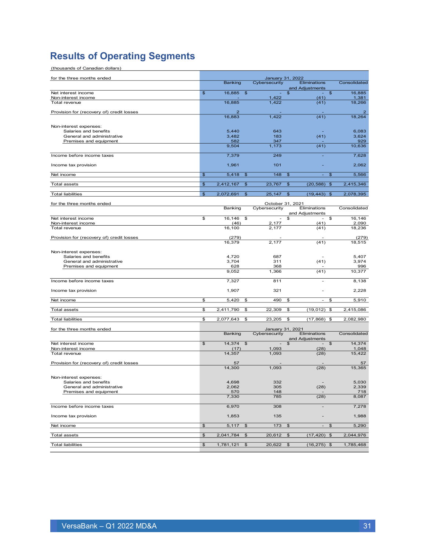## <span id="page-30-0"></span>**Results of Operating Segments**

| (thousands of Canadian dollars)                     |                |                          |                      |                          |                                  |                           |                 |
|-----------------------------------------------------|----------------|--------------------------|----------------------|--------------------------|----------------------------------|---------------------------|-----------------|
| for the three months ended                          |                |                          |                      |                          | January 31, 2022                 |                           |                 |
|                                                     |                | <b>Banking</b>           |                      | Cybersecurity            | Eliminations<br>and Adjustments  |                           | Consolidated    |
| Net interest income                                 | $\mathfrak{s}$ | 16,885                   | $\mathfrak{S}$       |                          | \$<br>$\sim$                     | $\mathfrak{F}$            | 16,885          |
| Non-interest income<br>Total revenue                |                | 16.885                   |                      | 1,422<br>1,422           | (41)<br>(41)                     |                           | 1,381<br>18,266 |
|                                                     |                |                          |                      |                          |                                  |                           |                 |
| Provision for (recovery of) credit losses           |                | $\overline{2}$<br>16,883 |                      | 1,422                    | (41)                             |                           | 2<br>18,264     |
|                                                     |                |                          |                      |                          |                                  |                           |                 |
| Non-interest expenses:                              |                |                          |                      |                          |                                  |                           |                 |
| Salaries and benefits<br>General and administrative |                | 5,440<br>3,482           |                      | 643<br>183               | (41)                             |                           | 6,083<br>3,624  |
| Premises and equipment                              |                | 582                      |                      | 347                      |                                  |                           | 929             |
|                                                     |                | 9,504                    |                      | 1,173                    | (41)                             |                           | 10,636          |
| Income before income taxes                          |                | 7,379                    |                      | 249                      |                                  |                           | 7,628           |
| Income tax provision                                |                | 1,961                    |                      | 101                      |                                  |                           | 2,062           |
| Net income                                          | \$             | 5,418                    | $\mathfrak{S}$       | 148                      | \$                               | \$                        | 5,566           |
|                                                     |                |                          |                      |                          |                                  |                           |                 |
| <b>Total assets</b>                                 | \$             | 2,412,167                | $\mathfrak{S}$       | 23,767                   | $\frac{1}{2}$<br>(20, 588)       | \$                        | 2,415,346       |
| <b>Total liabilities</b>                            | $\mathfrak{S}$ | 2,072,691                | \$                   | 25,147                   | (19, 443)<br>\$                  | $\mathfrak{s}$            | 2,078,395       |
| for the three months ended                          |                |                          |                      |                          | October 31, 2021                 |                           |                 |
|                                                     |                | Banking                  |                      | Cybersecurity            | Eliminations                     |                           | Consolidated    |
| Net interest income                                 | \$             | 16,146                   | \$                   | $\overline{\phantom{a}}$ | and Adjustments<br>\$<br>$\sim$  | \$                        | 16,146          |
| Non-interest income                                 |                | (46)                     |                      | 2,177                    | (41)                             |                           | 2,090           |
| Total revenue                                       |                | 16,100                   |                      | 2,177                    | (41)                             |                           | 18.236          |
| Provision for (recovery of) credit losses           |                | (279)                    |                      |                          |                                  |                           | (279)           |
|                                                     |                | 16,379                   |                      | 2.177                    | (41)                             |                           | 18,515          |
| Non-interest expenses:                              |                |                          |                      |                          |                                  |                           |                 |
| Salaries and benefits                               |                | 4,720                    |                      | 687                      |                                  |                           | 5,407           |
| General and administrative                          |                | 3,704                    |                      | 311                      | (41)                             |                           | 3,974           |
| Premises and equipment                              |                | 628<br>9,052             |                      | 368<br>1,366             | (41)                             |                           | 996<br>10,377   |
|                                                     |                |                          |                      |                          |                                  |                           |                 |
| Income before income taxes                          |                | 7,327                    |                      | 811                      | $\overline{a}$                   |                           | 8,138           |
| Income tax provision                                |                | 1,907                    |                      | 321                      |                                  |                           | 2,228           |
| Net income                                          | \$             | 5,420                    | \$                   | 490                      | \$<br>$\overline{\phantom{a}}$   | \$                        | 5,910           |
| <b>Total assets</b>                                 | \$             | 2,411,790                | \$                   | 22,309                   | $(19,012)$ \$<br>\$              |                           | 2,415,086       |
| <b>Total liabilities</b>                            | \$             | 2,077,643                | \$                   | 23,205                   | \$<br>(17, 868)                  | \$                        | 2,082,980       |
|                                                     |                |                          |                      |                          |                                  |                           |                 |
| for the three months ended                          |                | Banking                  |                      | Cybersecurity            | January 31, 2021<br>Eliminations |                           | Consolidated    |
|                                                     |                |                          |                      |                          | and Adjustments                  |                           |                 |
| Net interest income                                 | \$             | 14,374                   | $\frac{3}{2}$        | $\overline{\phantom{a}}$ | $\mathfrak{S}$<br>$\sim$         | $\mathfrak{S}$            | 14,374          |
| Non-interest income<br>Total revenue                |                | (17)<br>14,357           |                      | 1,093<br>1,093           | (28)<br>(28)                     |                           | 1,048<br>15,422 |
|                                                     |                |                          |                      |                          |                                  |                           |                 |
| Provision for (recovery of) credit losses           |                | 57                       |                      |                          |                                  |                           | 57              |
|                                                     |                | 14.300                   |                      | 1,093                    | (28)                             |                           | 15,365          |
| Non-interest expenses:                              |                |                          |                      |                          |                                  |                           |                 |
| Salaries and benefits<br>General and administrative |                | 4,698                    |                      | 332<br>305               |                                  |                           | 5,030           |
| Premises and equipment                              |                | 2,062<br>570             |                      | 148                      | (28)                             |                           | 2,339<br>718    |
|                                                     |                | 7,330                    |                      | 785                      | (28)                             |                           | 8,087           |
| Income before income taxes                          |                | 6,970                    |                      | 308                      | $\overline{\phantom{m}}$         |                           | 7,278           |
| Income tax provision                                |                | 1,853                    |                      | 135                      |                                  |                           | 1,988           |
|                                                     |                |                          |                      |                          | -                                |                           |                 |
| Net income                                          | \$             | 5,117                    | $\pmb{\mathfrak{P}}$ | 173                      | \$<br>$\blacksquare$             | $\boldsymbol{\mathsf{S}}$ | 5,290           |
| <b>Total assets</b>                                 | \$             | 2,041,784                | \$                   | 20,612                   | $\sqrt{3}$<br>$(17, 420)$ \$     |                           | 2,044,976       |
| <b>Total liabilities</b>                            | $$\mathbb{S}$$ | 1,781,121                | $\frac{3}{2}$        | $20,622$ \$              | $(16, 275)$ \$                   |                           | 1,785,468       |
|                                                     |                |                          |                      |                          |                                  |                           |                 |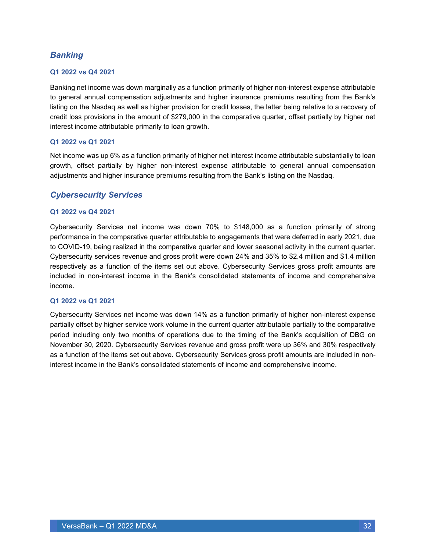### *Banking*

#### **Q1 2022 vs Q4 2021**

Banking net income was down marginally as a function primarily of higher non-interest expense attributable to general annual compensation adjustments and higher insurance premiums resulting from the Bank's listing on the Nasdaq as well as higher provision for credit losses, the latter being relative to a recovery of credit loss provisions in the amount of \$279,000 in the comparative quarter, offset partially by higher net interest income attributable primarily to loan growth.

#### **Q1 2022 vs Q1 2021**

Net income was up 6% as a function primarily of higher net interest income attributable substantially to loan growth, offset partially by higher non-interest expense attributable to general annual compensation adjustments and higher insurance premiums resulting from the Bank's listing on the Nasdaq.

#### *Cybersecurity Services*

#### **Q1 2022 vs Q4 2021**

Cybersecurity Services net income was down 70% to \$148,000 as a function primarily of strong performance in the comparative quarter attributable to engagements that were deferred in early 2021, due to COVID-19, being realized in the comparative quarter and lower seasonal activity in the current quarter. Cybersecurity services revenue and gross profit were down 24% and 35% to \$2.4 million and \$1.4 million respectively as a function of the items set out above. Cybersecurity Services gross profit amounts are included in non-interest income in the Bank's consolidated statements of income and comprehensive income.

#### **Q1 2022 vs Q1 2021**

Cybersecurity Services net income was down 14% as a function primarily of higher non-interest expense partially offset by higher service work volume in the current quarter attributable partially to the comparative period including only two months of operations due to the timing of the Bank's acquisition of DBG on November 30, 2020. Cybersecurity Services revenue and gross profit were up 36% and 30% respectively as a function of the items set out above. Cybersecurity Services gross profit amounts are included in noninterest income in the Bank's consolidated statements of income and comprehensive income.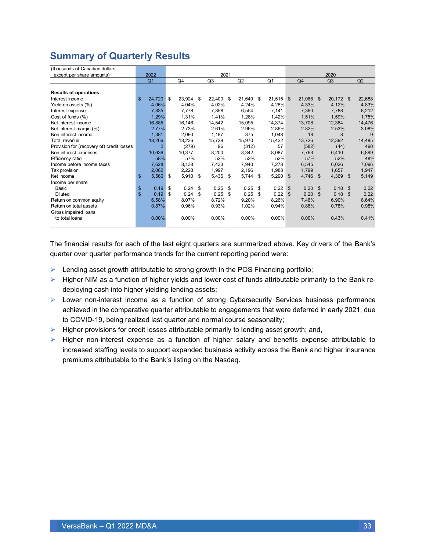### <span id="page-32-0"></span>**Summary of Quarterly Results**

| (thousands of Canadian dollars            |                |                |              |     |        |      |           |                |                |                   |                |                |        |
|-------------------------------------------|----------------|----------------|--------------|-----|--------|------|-----------|----------------|----------------|-------------------|----------------|----------------|--------|
| except per share amounts)                 | 2022           |                |              |     | 2021   |      |           |                |                |                   | 2020           |                |        |
|                                           | Q <sub>1</sub> |                | Q4           |     | Q3     |      | Q2        | Q <sub>1</sub> | Q4             |                   | Q <sub>3</sub> |                | Q2     |
|                                           |                |                |              |     |        |      |           |                |                |                   |                |                |        |
| <b>Results of operations:</b>             |                |                |              |     |        |      |           |                |                |                   |                |                |        |
| Interest income                           | \$<br>24,720   |                | \$<br>23,924 | -\$ | 22,400 | - \$ | 21,649 \$ | 21,515         | \$             | 21,068 \$         | 20,172 \$      |                | 22,688 |
| Yield on assets (%)                       | 4.06%          |                | 4.04%        |     | 4.02%  |      | 4.24%     | 4.28%          |                | 4.33%             | 4.12%          |                | 4.83%  |
| Interest expense                          | 7,835          |                | 7,778        |     | 7,858  |      | 6,554     | 7,141          |                | 7,360             | 7,788          |                | 8,212  |
| Cost of funds (%)                         | 1.29%          |                | 1.31%        |     | 1.41%  |      | 1.28%     | 1.42%          |                | 1.51%             | 1.59%          |                | 1.75%  |
| Net interest income                       | 16,885         |                | 16,146       |     | 14,542 |      | 15,095    | 14,374         |                | 13,708            | 12,384         |                | 14,476 |
| Net interest margin (%)                   | 2.77%          |                | 2.73%        |     | 2.61%  |      | 2.96%     | 2.86%          |                | 2.82%             | 2.53%          |                | 3.08%  |
| Non-interest income                       | 1,381          |                | 2,090        |     | 1,187  |      | 875       | 1,048          |                | 18                | 8              |                | 9      |
| Total revenue                             | 18,266         |                | 18,236       |     | 15,729 |      | 15,970    | 15,422         |                | 13,726            | 12.392         |                | 14,485 |
| Provision for (recovery of) credit losses |                | $\overline{2}$ | (279)        |     | 96     |      | (312)     | 57             |                | (582)             | (44)           |                | 490    |
| Non-interest expenses                     | 10,636         |                | 10,377       |     | 8,200  |      | 8,342     | 8,087          |                | 7,763             | 6,410          |                | 6,899  |
| Efficiency ratio                          |                | 58%            | 57%          |     | 52%    |      | 52%       | 52%            |                | 57%               | 52%            |                | 48%    |
| Income before income taxes                | 7,628          |                | 8,138        |     | 7,433  |      | 7,940     | 7,278          |                | 6,545             | 6,026          |                | 7,096  |
| Tax provision                             | 2,062          |                | 2,228        |     | 1,997  |      | 2,196     | 1,988          |                | 1,799             | 1,657          |                | 1,947  |
| Net income                                | 5,566<br>\$    |                | 5,910<br>-\$ | \$  | 5,436  | \$   | 5,744 \$  | 5,290          | \$             | $4,746$ \$        | $4,369$ \$     |                | 5,149  |
| Income per share                          |                |                |              |     |        |      |           |                |                |                   |                |                |        |
| Basic                                     | 0.19<br>\$     |                | \$<br>0.24   | \$  | 0.25   | \$   | 0.25      | \$<br>0.22     | \$             | 0.20 <sup>5</sup> | $0.18$ \$      |                | 0.22   |
| Diluted                                   | \$<br>0.19     |                | 0.24<br>\$   | \$  | 0.25   | \$   | 0.25      | \$<br>0.22     | $\mathfrak{L}$ | 0.20              | \$<br>0.18     | $\mathfrak{L}$ | 0.22   |
| Return on common equity                   | 6.58%          |                | 8.07%        |     | 8.72%  |      | 9.20%     | 8.26%          |                | 7.46%             | 6.90%          |                | 8.64%  |
| Return on total assets                    | 0.87%          |                | 0.96%        |     | 0.93%  |      | 1.02%     | 0.94%          |                | 0.86%             | 0.78%          |                | 0.98%  |
| Gross impaired loans                      |                |                |              |     |        |      |           |                |                |                   |                |                |        |
| to total loans                            | 0.00%          |                | $0.00\%$     |     | 0.00%  |      | 0.00%     | 0.00%          |                | 0.00%             | 0.43%          |                | 0.41%  |
|                                           |                |                |              |     |        |      |           |                |                |                   |                |                |        |

The financial results for each of the last eight quarters are summarized above. Key drivers of the Bank's quarter over quarter performance trends for the current reporting period were:

- $\triangleright$  Lending asset growth attributable to strong growth in the POS Financing portfolio;
- ➢ Higher NIM as a function of higher yields and lower cost of funds attributable primarily to the Bank redeploying cash into higher yielding lending assets;
- ➢ Lower non-interest income as a function of strong Cybersecurity Services business performance achieved in the comparative quarter attributable to engagements that were deferred in early 2021, due to COVID-19, being realized last quarter and normal course seasonality;
- $\triangleright$  Higher provisions for credit losses attributable primarily to lending asset growth; and,
- ➢ Higher non-interest expense as a function of higher salary and benefits expense attributable to increased staffing levels to support expanded business activity across the Bank and higher insurance premiums attributable to the Bank's listing on the Nasdaq.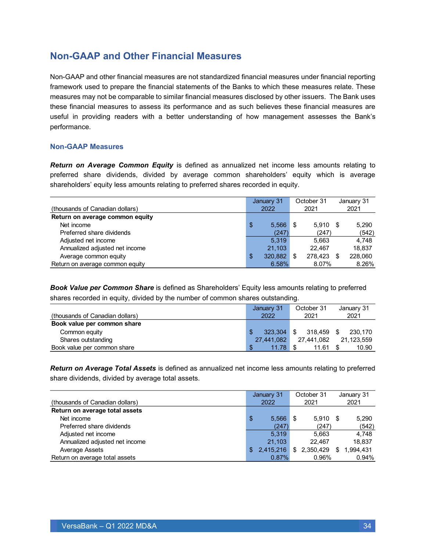### <span id="page-33-0"></span>**Non-GAAP and Other Financial Measures**

Non-GAAP and other financial measures are not standardized financial measures under financial reporting framework used to prepare the financial statements of the Banks to which these measures relate. These measures may not be comparable to similar financial measures disclosed by other issuers. The Bank uses these financial measures to assess its performance and as such believes these financial measures are useful in providing readers with a better understanding of how management assesses the Bank's performance.

#### **Non-GAAP Measures**

*Return on Average Common Equity* is defined as annualized net income less amounts relating to preferred share dividends, divided by average common shareholders' equity which is average shareholders' equity less amounts relating to preferred shares recorded in equity.

|                                 | January 31    |     | October 31 | January 31 |         |  |
|---------------------------------|---------------|-----|------------|------------|---------|--|
| (thousands of Canadian dollars) | 2022          |     | 2021       |            | 2021    |  |
| Return on average common equity |               |     |            |            |         |  |
| Net income                      | \$<br>5.566   | \$. | $5.910$ \$ |            | 5,290   |  |
| Preferred share dividends       | (247)         |     | (247)      |            | (542)   |  |
| Adjusted net income             | 5.319         |     | 5.663      |            | 4.748   |  |
| Annualized adjusted net income  | 21.103        |     | 22.467     |            | 18.837  |  |
| Average common equity           | \$<br>320,882 | \$. | 278.423    | \$         | 228,060 |  |
| Return on average common equity | 6.58%         |     | 8.07%      |            | 8.26%   |  |

*Book Value per Common Share* is defined as Shareholders' Equity less amounts relating to preferred shares recorded in equity, divided by the number of common shares outstanding.

|                                 | January 31  | October 31     | January 31 |
|---------------------------------|-------------|----------------|------------|
| (thousands of Canadian dollars) | 2022        | 2021           | 2021       |
| Book value per common share     |             |                |            |
| Common equity                   | 323.304     | \$.<br>318.459 | 230.170    |
| Shares outstanding              | 27.441.082  | 27.441.082     | 21.123.559 |
| Book value per common share     | \$<br>11.78 | 11.61          | 10.90      |

*Return on Average Total Assets* is defined as annualized net income less amounts relating to preferred share dividends, divided by average total assets.

|                                 |     | January 31 |   | October 31  |    | January 31 |
|---------------------------------|-----|------------|---|-------------|----|------------|
| (thousands of Canadian dollars) |     | 2022       |   | 2021        |    | 2021       |
| Return on average total assets  |     |            |   |             |    |            |
| Net income                      | \$  | 5.566      | S | $5.910$ \$  |    | 5.290      |
| Preferred share dividends       |     | (247)      |   | (247)       |    | (542)      |
| Adjusted net income             |     | 5.319      |   | 5.663       |    | 4.748      |
| Annualized adjusted net income  |     | 21.103     |   | 22.467      |    | 18.837     |
| Average Assets                  | \$. | 2,415,216  |   | \$2,350,429 | S. | 1,994,431  |
| Return on average total assets  |     | 0.87%      |   | 0.96%       |    | 0.94%      |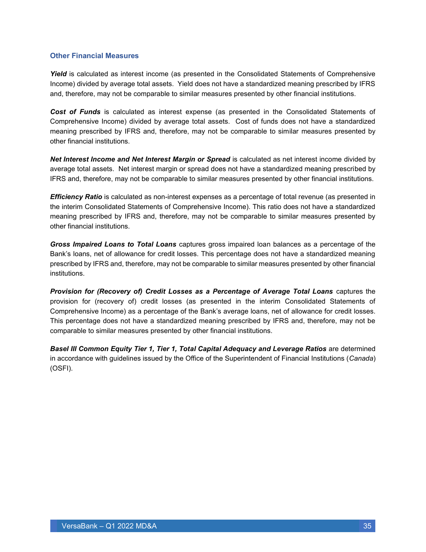#### **Other Financial Measures**

*Yield* is calculated as interest income (as presented in the Consolidated Statements of Comprehensive Income) divided by average total assets. Yield does not have a standardized meaning prescribed by IFRS and, therefore, may not be comparable to similar measures presented by other financial institutions.

*Cost of Funds* is calculated as interest expense (as presented in the Consolidated Statements of Comprehensive Income) divided by average total assets. Cost of funds does not have a standardized meaning prescribed by IFRS and, therefore, may not be comparable to similar measures presented by other financial institutions.

*Net Interest Income and Net Interest Margin or Spread* is calculated as net interest income divided by average total assets. Net interest margin or spread does not have a standardized meaning prescribed by IFRS and, therefore, may not be comparable to similar measures presented by other financial institutions.

*Efficiency Ratio* is calculated as non-interest expenses as a percentage of total revenue (as presented in the interim Consolidated Statements of Comprehensive Income). This ratio does not have a standardized meaning prescribed by IFRS and, therefore, may not be comparable to similar measures presented by other financial institutions.

*Gross Impaired Loans to Total Loans* captures gross impaired loan balances as a percentage of the Bank's loans, net of allowance for credit losses. This percentage does not have a standardized meaning prescribed by IFRS and, therefore, may not be comparable to similar measures presented by other financial institutions.

*Provision for (Recovery of) Credit Losses as a Percentage of Average Total Loans* captures the provision for (recovery of) credit losses (as presented in the interim Consolidated Statements of Comprehensive Income) as a percentage of the Bank's average loans, net of allowance for credit losses. This percentage does not have a standardized meaning prescribed by IFRS and, therefore, may not be comparable to similar measures presented by other financial institutions.

**Basel III Common Equity Tier 1, Tier 1, Total Capital Adequacy and Leverage Ratios** are determined in accordance with guidelines issued by the Office of the Superintendent of Financial Institutions (*Canada*) (OSFI).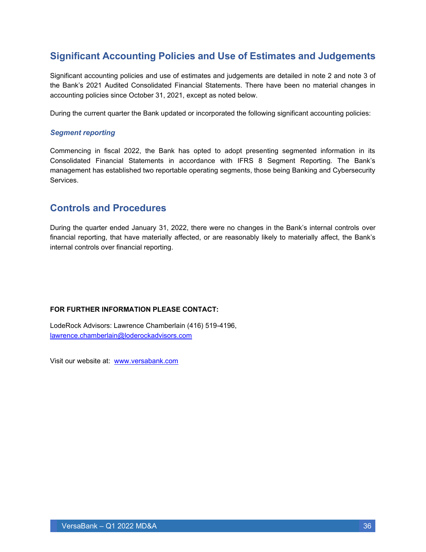### <span id="page-35-0"></span>**Significant Accounting Policies and Use of Estimates and Judgements**

Significant accounting policies and use of estimates and judgements are detailed in note 2 and note 3 of the Bank's 2021 Audited Consolidated Financial Statements. There have been no material changes in accounting policies since October 31, 2021, except as noted below.

During the current quarter the Bank updated or incorporated the following significant accounting policies:

#### *Segment reporting*

Commencing in fiscal 2022, the Bank has opted to adopt presenting segmented information in its Consolidated Financial Statements in accordance with IFRS 8 Segment Reporting. The Bank's management has established two reportable operating segments, those being Banking and Cybersecurity Services.

### <span id="page-35-1"></span>**Controls and Procedures**

During the quarter ended January 31, 2022, there were no changes in the Bank's internal controls over financial reporting, that have materially affected, or are reasonably likely to materially affect, the Bank's internal controls over financial reporting.

#### **FOR FURTHER INFORMATION PLEASE CONTACT:**

LodeRock Advisors: Lawrence Chamberlain (416) 519-4196, [lawrence.chamberlain@loderockadvisors.com](mailto:lawrence.chamberlain@loderockadvisors.com)

Visit our website at: [www.versabank.com](http://www.versabank.com/)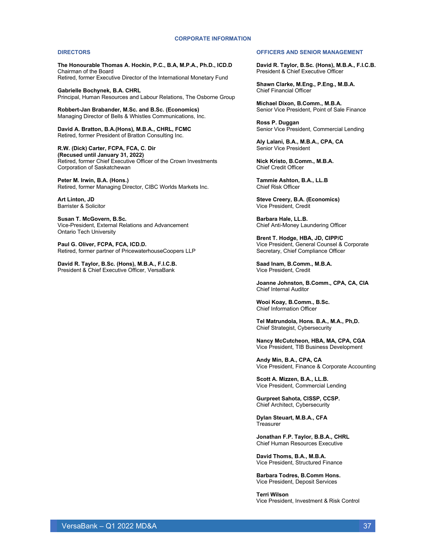#### **CORPORATE INFORMATION**

#### **DIRECTORS**

**The Honourable Thomas A. Hockin, P.C., B.A, M.P.A., Ph.D., ICD.D** Chairman of the Board Retired, former Executive Director of the International Monetary Fund

**Gabrielle Bochynek, B.A. CHRL** Principal, Human Resources and Labour Relations, The Osborne Group

**Robbert-Jan Brabander, M.Sc. and B.Sc. (Economics)** Managing Director of Bells & Whistles Communications, Inc.

**David A. Bratton, B.A.(Hons), M.B.A., CHRL, FCMC** Retired, former President of Bratton Consulting Inc.

**R.W. (Dick) Carter, FCPA, FCA, C. Dir (Recused until January 31, 2022)** Retired, former Chief Executive Officer of the Crown Investments Corporation of Saskatchewan

**Peter M. Irwin, B.A. (Hons.)** Retired, former Managing Director, CIBC Worlds Markets Inc.

**Art Linton, JD** Barrister & Solicitor

**Susan T. McGovern, B.Sc.** Vice-President, External Relations and Advancement Ontario Tech University

**Paul G. Oliver, FCPA, FCA, ICD.D.** Retired, former partner of PricewaterhouseCoopers LLP

**David R. Taylor, B.Sc. (Hons), M.B.A., F.I.C.B.** President & Chief Executive Officer, VersaBank

#### **OFFICERS AND SENIOR MANAGEMENT**

**David R. Taylor, B.Sc. (Hons), M.B.A., F.I.C.B.** President & Chief Executive Officer

**Shawn Clarke, M.Eng., P.Eng., M.B.A.** Chief Financial Officer

**Michael Dixon, B.Comm., M.B.A.** Senior Vice President, Point of Sale Finance

**Ross P. Duggan** Senior Vice President, Commercial Lending

**Aly Lalani, B.A., M.B.A., CPA, CA**  Senior Vice President

**Nick Kristo, B.Comm., M.B.A.** Chief Credit Officer

**Tammie Ashton, B.A., LL.B** Chief Risk Officer

**Steve Creery, B.A. (Economics)** Vice President, Credit

**Barbara Hale, LL.B.** Chief Anti-Money Laundering Officer

**Brent T. Hodge, HBA, JD, CIPP/C** Vice President, General Counsel & Corporate Secretary, Chief Compliance Officer

 **Saad Inam, B.Comm., M.B.A.** Vice President, Credit

**Joanne Johnston, B.Comm., CPA, CA, CIA** Chief Internal Auditor

**Wooi Koay, B.Comm., B.Sc.** Chief Information Officer

**Tel Matrundola, Hons. B.A., M.A., Ph,D.** Chief Strategist, Cybersecurity

**Nancy McCutcheon, HBA, MA, CPA, CGA** Vice President, TIB Business Development

**Andy Min, B.A., CPA, CA** Vice President, Finance & Corporate Accounting

**Scott A. Mizzen, B.A., LL.B.** Vice President, Commercial Lending

**Gurpreet Sahota, CISSP, CCSP.** Chief Architect, Cybersecurity

**Dylan Steuart, M.B.A., CFA Treasurer** 

**Jonathan F.P. Taylor, B.B.A., CHRL** Chief Human Resources Executive

**David Thoms, B.A., M.B.A.** Vice President, Structured Finance

**Barbara Todres, B.Comm Hons.** Vice President, Deposit Services

**Terri Wilson** Vice President, Investment & Risk Control